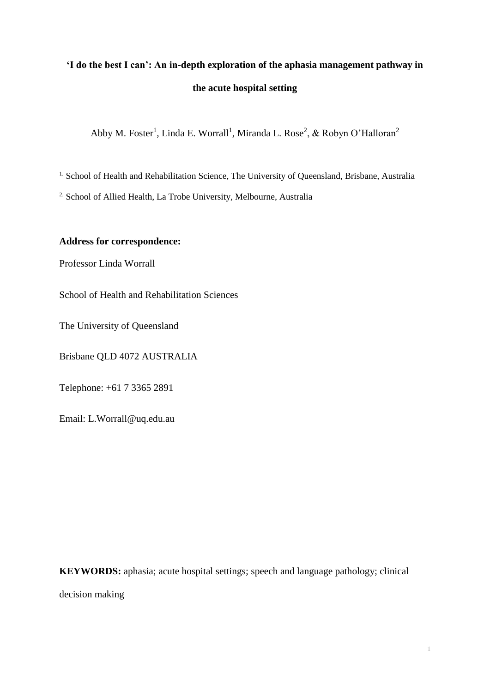# **'I do the best I can': An in-depth exploration of the aphasia management pathway in the acute hospital setting**

Abby M. Foster<sup>1</sup>, Linda E. Worrall<sup>1</sup>, Miranda L. Rose<sup>2</sup>, & Robyn O'Halloran<sup>2</sup>

<sup>1.</sup> School of Health and Rehabilitation Science, The University of Oueensland, Brisbane, Australia

2. School of Allied Health, La Trobe University, Melbourne, Australia

## **Address for correspondence:**

Professor Linda Worrall

School of Health and Rehabilitation Sciences

The University of Queensland

Brisbane QLD 4072 AUSTRALIA

Telephone: +61 7 3365 2891

Email: L.Worrall@uq.edu.au

**KEYWORDS:** aphasia; acute hospital settings; speech and language pathology; clinical decision making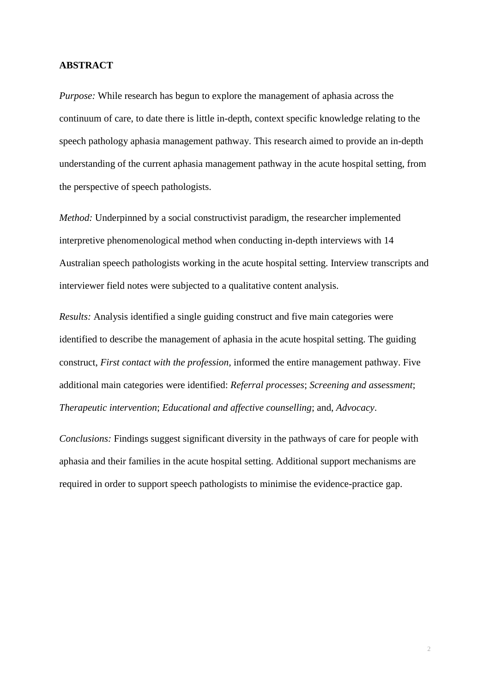#### **ABSTRACT**

*Purpose:* While research has begun to explore the management of aphasia across the continuum of care, to date there is little in-depth, context specific knowledge relating to the speech pathology aphasia management pathway. This research aimed to provide an in-depth understanding of the current aphasia management pathway in the acute hospital setting, from the perspective of speech pathologists.

*Method:* Underpinned by a social constructivist paradigm, the researcher implemented interpretive phenomenological method when conducting in-depth interviews with 14 Australian speech pathologists working in the acute hospital setting. Interview transcripts and interviewer field notes were subjected to a qualitative content analysis.

*Results:* Analysis identified a single guiding construct and five main categories were identified to describe the management of aphasia in the acute hospital setting. The guiding construct, *First contact with the profession,* informed the entire management pathway. Five additional main categories were identified: *Referral processes*; *Screening and assessment*; *Therapeutic intervention*; *Educational and affective counselling*; and, *Advocacy*.

*Conclusions:* Findings suggest significant diversity in the pathways of care for people with aphasia and their families in the acute hospital setting. Additional support mechanisms are required in order to support speech pathologists to minimise the evidence-practice gap.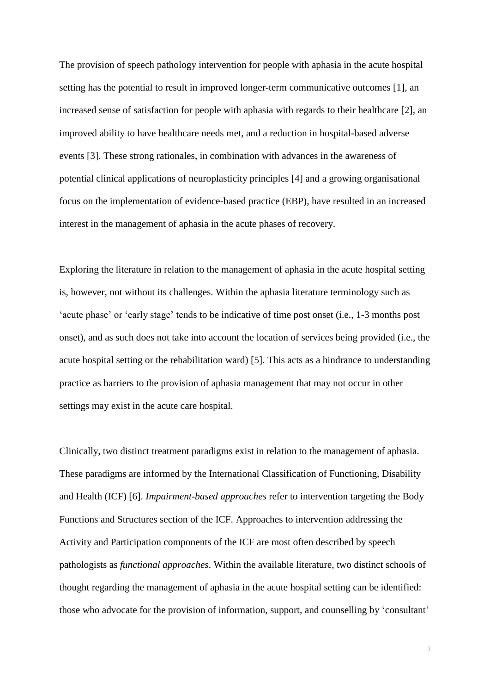The provision of speech pathology intervention for people with aphasia in the acute hospital setting has the potential to result in improved longer-term communicative outcomes [\[1\]](#page-38-0), an increased sense of satisfaction for people with aphasia with regards to their healthcare [\[2\]](#page-38-1), an improved ability to have healthcare needs met, and a reduction in hospital-based adverse events [\[3\]](#page-38-2). These strong rationales, in combination with advances in the awareness of potential clinical applications of neuroplasticity principles [\[4\]](#page-38-3) and a growing organisational focus on the implementation of evidence-based practice (EBP), have resulted in an increased interest in the management of aphasia in the acute phases of recovery.

Exploring the literature in relation to the management of aphasia in the acute hospital setting is, however, not without its challenges. Within the aphasia literature terminology such as 'acute phase' or 'early stage' tends to be indicative of time post onset (i.e., 1-3 months post onset), and as such does not take into account the location of services being provided (i.e., the acute hospital setting or the rehabilitation ward) [\[5\]](#page-39-0). This acts as a hindrance to understanding practice as barriers to the provision of aphasia management that may not occur in other settings may exist in the acute care hospital.

Clinically, two distinct treatment paradigms exist in relation to the management of aphasia. These paradigms are informed by the International Classification of Functioning, Disability and Health (ICF) [\[6\]](#page-39-1). *Impairment-based approaches* refer to intervention targeting the Body Functions and Structures section of the ICF. Approaches to intervention addressing the Activity and Participation components of the ICF are most often described by speech pathologists as *functional approaches*. Within the available literature, two distinct schools of thought regarding the management of aphasia in the acute hospital setting can be identified: those who advocate for the provision of information, support, and counselling by 'consultant'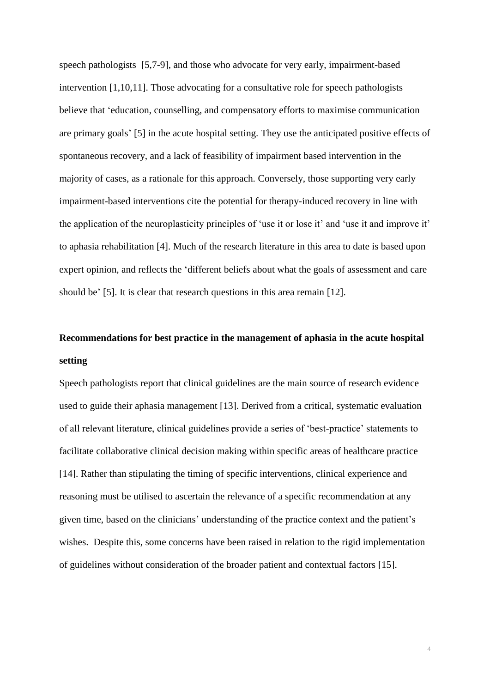speech pathologists [\[5](#page-39-0)[,7-9\]](#page-39-2), and those who advocate for very early, impairment-based intervention [\[1](#page-38-0)[,10](#page-39-3)[,11\]](#page-39-4). Those advocating for a consultative role for speech pathologists believe that 'education, counselling, and compensatory efforts to maximise communication are primary goals' [\[5\]](#page-39-0) in the acute hospital setting. They use the anticipated positive effects of spontaneous recovery, and a lack of feasibility of impairment based intervention in the majority of cases, as a rationale for this approach. Conversely, those supporting very early impairment-based interventions cite the potential for therapy-induced recovery in line with the application of the neuroplasticity principles of 'use it or lose it' and 'use it and improve it' to aphasia rehabilitation [\[4\]](#page-38-3). Much of the research literature in this area to date is based upon expert opinion, and reflects the 'different beliefs about what the goals of assessment and care should be' [\[5\]](#page-39-0). It is clear that research questions in this area remain [\[12\]](#page-39-5).

## **Recommendations for best practice in the management of aphasia in the acute hospital setting**

Speech pathologists report that clinical guidelines are the main source of research evidence used to guide their aphasia management [\[13\]](#page-39-6). Derived from a critical, systematic evaluation of all relevant literature, clinical guidelines provide a series of 'best-practice' statements to facilitate collaborative clinical decision making within specific areas of healthcare practice [\[14\]](#page-40-0). Rather than stipulating the timing of specific interventions, clinical experience and reasoning must be utilised to ascertain the relevance of a specific recommendation at any given time, based on the clinicians' understanding of the practice context and the patient's wishes. Despite this, some concerns have been raised in relation to the rigid implementation of guidelines without consideration of the broader patient and contextual factors [\[15\]](#page-40-1).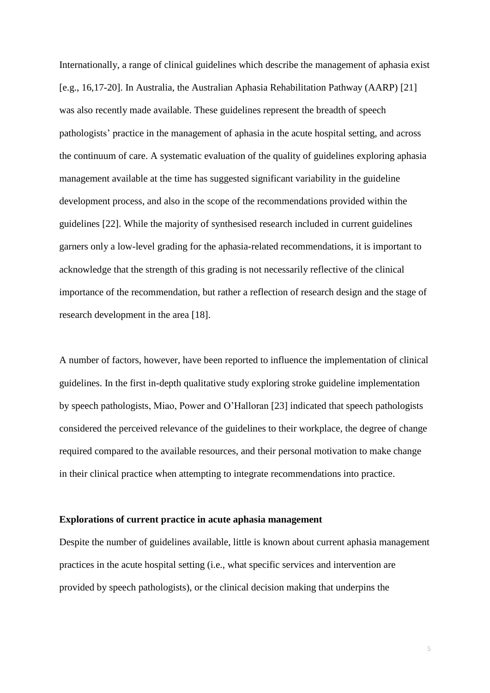Internationally, a range of clinical guidelines which describe the management of aphasia exist [e.g., [16,](#page-40-2)[17-20\]](#page-40-3). In Australia, the Australian Aphasia Rehabilitation Pathway (AARP) [\[21\]](#page-40-4) was also recently made available. These guidelines represent the breadth of speech pathologists' practice in the management of aphasia in the acute hospital setting, and across the continuum of care. A systematic evaluation of the quality of guidelines exploring aphasia management available at the time has suggested significant variability in the guideline development process, and also in the scope of the recommendations provided within the guidelines [\[22\]](#page-40-5). While the majority of synthesised research included in current guidelines garners only a low-level grading for the aphasia-related recommendations, it is important to acknowledge that the strength of this grading is not necessarily reflective of the clinical importance of the recommendation, but rather a reflection of research design and the stage of research development in the area [\[18\]](#page-40-6).

A number of factors, however, have been reported to influence the implementation of clinical guidelines. In the first in-depth qualitative study exploring stroke guideline implementation by speech pathologists, Miao, Power and O'Halloran [\[23\]](#page-40-7) indicated that speech pathologists considered the perceived relevance of the guidelines to their workplace, the degree of change required compared to the available resources, and their personal motivation to make change in their clinical practice when attempting to integrate recommendations into practice.

#### **Explorations of current practice in acute aphasia management**

Despite the number of guidelines available, little is known about current aphasia management practices in the acute hospital setting (i.e., what specific services and intervention are provided by speech pathologists), or the clinical decision making that underpins the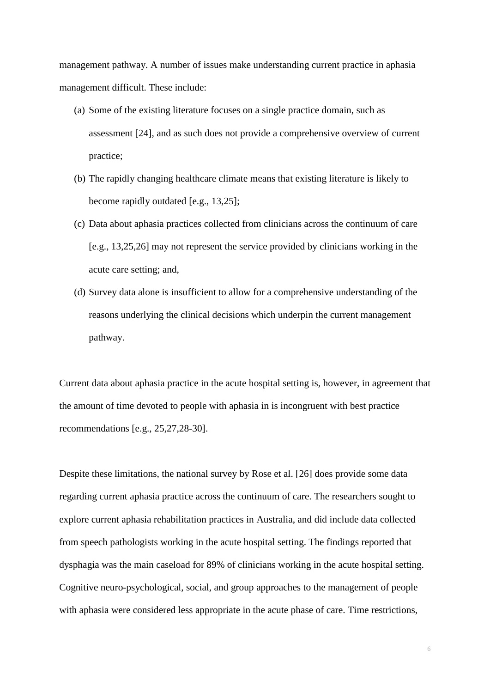management pathway. A number of issues make understanding current practice in aphasia management difficult. These include:

- (a) Some of the existing literature focuses on a single practice domain, such as assessment [\[24\]](#page-41-0), and as such does not provide a comprehensive overview of current practice;
- (b) The rapidly changing healthcare climate means that existing literature is likely to become rapidly outdated [e.g., [13,](#page-39-6)[25\]](#page-41-1);
- (c) Data about aphasia practices collected from clinicians across the continuum of care [e.g., [13,](#page-39-6)[25,](#page-41-1)[26\]](#page-41-2) may not represent the service provided by clinicians working in the acute care setting; and,
- (d) Survey data alone is insufficient to allow for a comprehensive understanding of the reasons underlying the clinical decisions which underpin the current management pathway.

Current data about aphasia practice in the acute hospital setting is, however, in agreement that the amount of time devoted to people with aphasia in is incongruent with best practice recommendations [e.g., [25](#page-41-1)[,27](#page-41-3)[,28-30\]](#page-41-4).

Despite these limitations, the national survey by Rose et al. [\[26\]](#page-41-2) does provide some data regarding current aphasia practice across the continuum of care. The researchers sought to explore current aphasia rehabilitation practices in Australia, and did include data collected from speech pathologists working in the acute hospital setting. The findings reported that dysphagia was the main caseload for 89% of clinicians working in the acute hospital setting. Cognitive neuro-psychological, social, and group approaches to the management of people with aphasia were considered less appropriate in the acute phase of care. Time restrictions,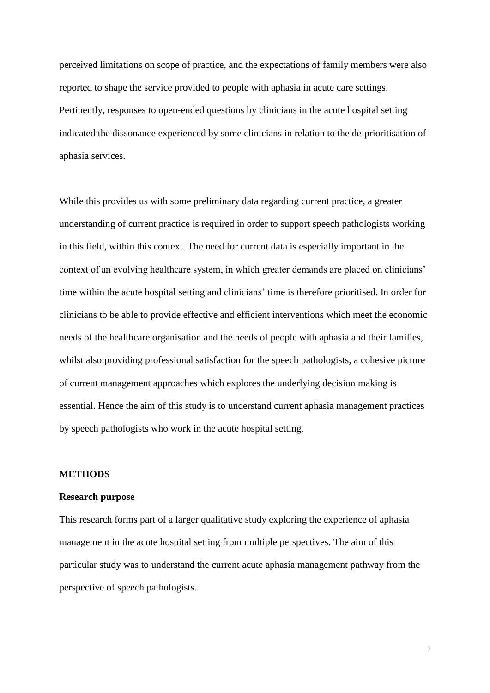perceived limitations on scope of practice, and the expectations of family members were also reported to shape the service provided to people with aphasia in acute care settings. Pertinently, responses to open-ended questions by clinicians in the acute hospital setting indicated the dissonance experienced by some clinicians in relation to the de-prioritisation of aphasia services.

While this provides us with some preliminary data regarding current practice, a greater understanding of current practice is required in order to support speech pathologists working in this field, within this context. The need for current data is especially important in the context of an evolving healthcare system, in which greater demands are placed on clinicians' time within the acute hospital setting and clinicians' time is therefore prioritised. In order for clinicians to be able to provide effective and efficient interventions which meet the economic needs of the healthcare organisation and the needs of people with aphasia and their families, whilst also providing professional satisfaction for the speech pathologists, a cohesive picture of current management approaches which explores the underlying decision making is essential. Hence the aim of this study is to understand current aphasia management practices by speech pathologists who work in the acute hospital setting.

## **METHODS**

#### **Research purpose**

This research forms part of a larger qualitative study exploring the experience of aphasia management in the acute hospital setting from multiple perspectives. The aim of this particular study was to understand the current acute aphasia management pathway from the perspective of speech pathologists.

7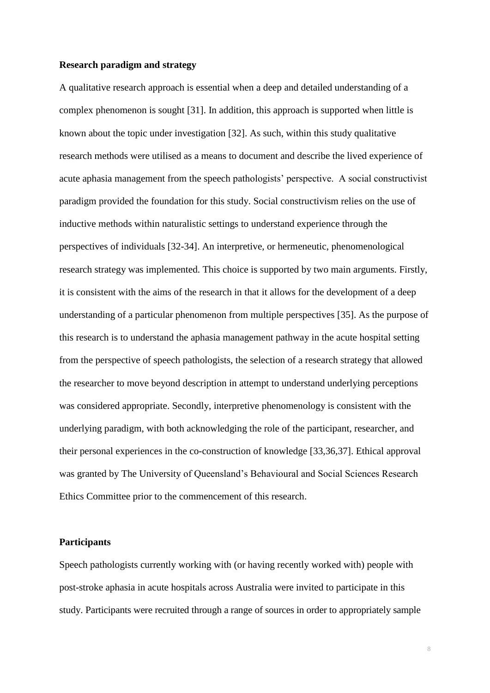### **Research paradigm and strategy**

A qualitative research approach is essential when a deep and detailed understanding of a complex phenomenon is sought [\[31\]](#page-41-5). In addition, this approach is supported when little is known about the topic under investigation [\[32\]](#page-41-6). As such, within this study qualitative research methods were utilised as a means to document and describe the lived experience of acute aphasia management from the speech pathologists' perspective. A social constructivist paradigm provided the foundation for this study. Social constructivism relies on the use of inductive methods within naturalistic settings to understand experience through the perspectives of individuals [\[32-34\]](#page-41-6). An interpretive, or hermeneutic, phenomenological research strategy was implemented. This choice is supported by two main arguments. Firstly, it is consistent with the aims of the research in that it allows for the development of a deep understanding of a particular phenomenon from multiple perspectives [\[35\]](#page-42-0). As the purpose of this research is to understand the aphasia management pathway in the acute hospital setting from the perspective of speech pathologists, the selection of a research strategy that allowed the researcher to move beyond description in attempt to understand underlying perceptions was considered appropriate. Secondly, interpretive phenomenology is consistent with the underlying paradigm, with both acknowledging the role of the participant, researcher, and their personal experiences in the co-construction of knowledge [\[33](#page-41-7)[,36](#page-42-1)[,37\]](#page-42-2). Ethical approval was granted by The University of Queensland's Behavioural and Social Sciences Research Ethics Committee prior to the commencement of this research.

#### **Participants**

Speech pathologists currently working with (or having recently worked with) people with post-stroke aphasia in acute hospitals across Australia were invited to participate in this study. Participants were recruited through a range of sources in order to appropriately sample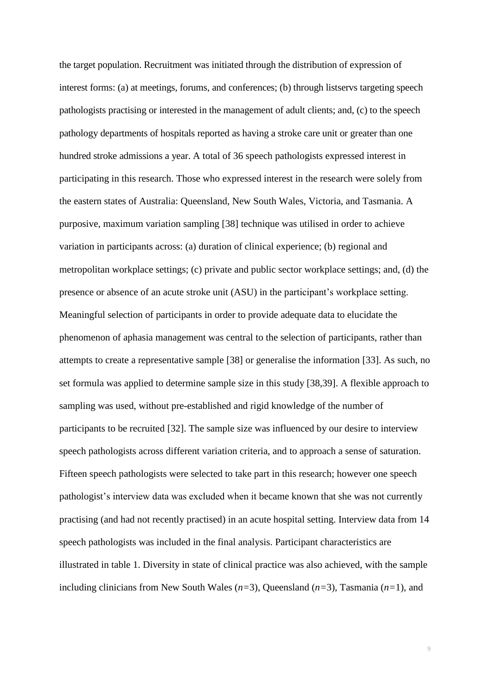the target population. Recruitment was initiated through the distribution of expression of interest forms: (a) at meetings, forums, and conferences; (b) through listservs targeting speech pathologists practising or interested in the management of adult clients; and, (c) to the speech pathology departments of hospitals reported as having a stroke care unit or greater than one hundred stroke admissions a year. A total of 36 speech pathologists expressed interest in participating in this research. Those who expressed interest in the research were solely from the eastern states of Australia: Queensland, New South Wales, Victoria, and Tasmania. A purposive, maximum variation sampling [\[38\]](#page-42-3) technique was utilised in order to achieve variation in participants across: (a) duration of clinical experience; (b) regional and metropolitan workplace settings; (c) private and public sector workplace settings; and, (d) the presence or absence of an acute stroke unit (ASU) in the participant's workplace setting. Meaningful selection of participants in order to provide adequate data to elucidate the phenomenon of aphasia management was central to the selection of participants, rather than attempts to create a representative sample [\[38\]](#page-42-3) or generalise the information [\[33\]](#page-41-7). As such, no set formula was applied to determine sample size in this study [\[38,](#page-42-3)[39\]](#page-42-4). A flexible approach to sampling was used, without pre-established and rigid knowledge of the number of participants to be recruited [\[32\]](#page-41-6). The sample size was influenced by our desire to interview speech pathologists across different variation criteria, and to approach a sense of saturation. Fifteen speech pathologists were selected to take part in this research; however one speech pathologist's interview data was excluded when it became known that she was not currently practising (and had not recently practised) in an acute hospital setting. Interview data from 14 speech pathologists was included in the final analysis. Participant characteristics are illustrated in table 1. Diversity in state of clinical practice was also achieved, with the sample including clinicians from New South Wales (*n=*3), Queensland (*n=*3), Tasmania (*n=*1), and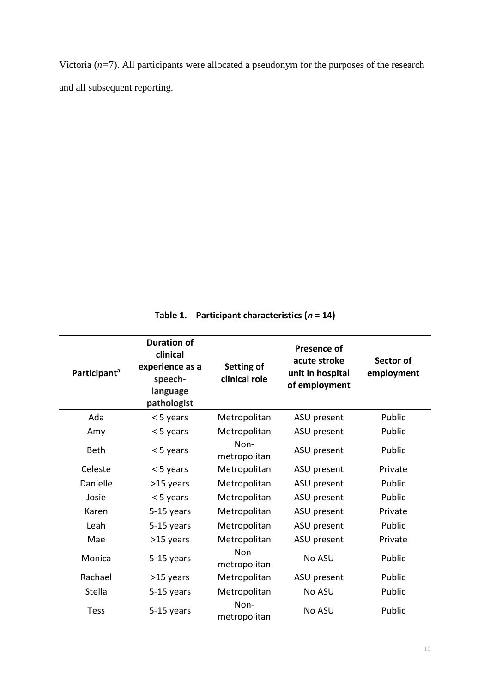Victoria (*n=*7). All participants were allocated a pseudonym for the purposes of the research and all subsequent reporting.

**Table 1. Participant characteristics (***n* **= 14)**

| Participant <sup>a</sup> | <b>Duration of</b><br>clinical<br>experience as a<br>speech-<br>language<br>pathologist | Setting of<br>clinical role | <b>Presence of</b><br>acute stroke<br>unit in hospital<br>of employment | Sector of<br>employment |
|--------------------------|-----------------------------------------------------------------------------------------|-----------------------------|-------------------------------------------------------------------------|-------------------------|
| Ada                      | < 5 years                                                                               | Metropolitan                | ASU present                                                             | Public                  |
| Amy                      | < 5 years                                                                               | Metropolitan                | ASU present                                                             | Public                  |
| <b>Beth</b>              | < 5 years                                                                               | Non-<br>metropolitan        | ASU present                                                             | Public                  |
| Celeste                  | < 5 years                                                                               | Metropolitan                | ASU present                                                             | Private                 |
| Danielle                 | >15 years                                                                               | Metropolitan                | ASU present                                                             | Public                  |
| Josie                    | < 5 years                                                                               | Metropolitan                | ASU present                                                             | Public                  |
| Karen                    | 5-15 years                                                                              | Metropolitan                | ASU present                                                             | Private                 |
| Leah                     | 5-15 years                                                                              | Metropolitan                | ASU present                                                             | Public                  |
| Mae                      | >15 years                                                                               | Metropolitan                | ASU present                                                             | Private                 |
| Monica                   | 5-15 years                                                                              | Non-<br>metropolitan        | No ASU                                                                  | Public                  |
| Rachael                  | >15 years                                                                               | Metropolitan                | ASU present                                                             | Public                  |
| Stella                   | 5-15 years                                                                              | Metropolitan                | No ASU                                                                  | Public                  |
| <b>Tess</b>              | 5-15 years                                                                              | Non-<br>metropolitan        | No ASU                                                                  | Public                  |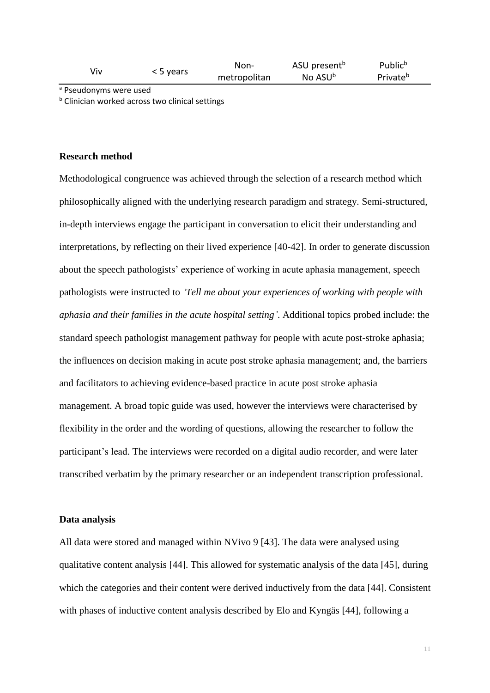| viv | < 5 years | Non-         | ASU present <sup>b</sup> | Public <sup>b</sup>  |
|-----|-----------|--------------|--------------------------|----------------------|
|     |           | metropolitan | No ASU <sup>b</sup>      | Private <sup>b</sup> |

a Pseudonyms were used

**b** Clinician worked across two clinical settings

#### **Research method**

Methodological congruence was achieved through the selection of a research method which philosophically aligned with the underlying research paradigm and strategy. Semi-structured, in-depth interviews engage the participant in conversation to elicit their understanding and interpretations, by reflecting on their lived experience [\[40-42\]](#page-42-5). In order to generate discussion about the speech pathologists' experience of working in acute aphasia management, speech pathologists were instructed to *'Tell me about your experiences of working with people with aphasia and their families in the acute hospital setting'*. Additional topics probed include: the standard speech pathologist management pathway for people with acute post-stroke aphasia; the influences on decision making in acute post stroke aphasia management; and, the barriers and facilitators to achieving evidence-based practice in acute post stroke aphasia management. A broad topic guide was used, however the interviews were characterised by flexibility in the order and the wording of questions, allowing the researcher to follow the participant's lead. The interviews were recorded on a digital audio recorder, and were later transcribed verbatim by the primary researcher or an independent transcription professional.

#### **Data analysis**

All data were stored and managed within NVivo 9 [\[43\]](#page-42-6). The data were analysed using qualitative content analysis [\[44\]](#page-42-7). This allowed for systematic analysis of the data [\[45\]](#page-42-8), during which the categories and their content were derived inductively from the data [\[44\]](#page-42-7). Consistent with phases of inductive content analysis described by Elo and Kyngäs [\[44\]](#page-42-7), following a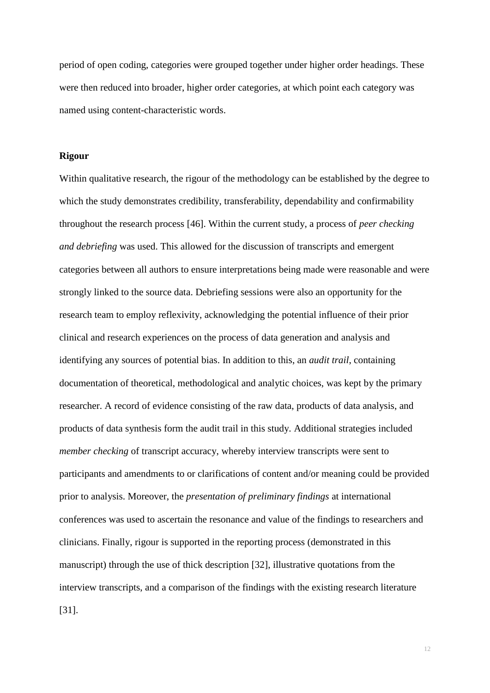period of open coding, categories were grouped together under higher order headings. These were then reduced into broader, higher order categories, at which point each category was named using content-characteristic words.

#### **Rigour**

Within qualitative research, the rigour of the methodology can be established by the degree to which the study demonstrates credibility, transferability, dependability and confirmability throughout the research process [\[46\]](#page-43-0). Within the current study, a process of *peer checking and debriefing* was used. This allowed for the discussion of transcripts and emergent categories between all authors to ensure interpretations being made were reasonable and were strongly linked to the source data. Debriefing sessions were also an opportunity for the research team to employ reflexivity, acknowledging the potential influence of their prior clinical and research experiences on the process of data generation and analysis and identifying any sources of potential bias. In addition to this, an *audit trail*, containing documentation of theoretical, methodological and analytic choices, was kept by the primary researcher. A record of evidence consisting of the raw data, products of data analysis, and products of data synthesis form the audit trail in this study. Additional strategies included *member checking* of transcript accuracy, whereby interview transcripts were sent to participants and amendments to or clarifications of content and/or meaning could be provided prior to analysis. Moreover, the *presentation of preliminary findings* at international conferences was used to ascertain the resonance and value of the findings to researchers and clinicians. Finally, rigour is supported in the reporting process (demonstrated in this manuscript) through the use of thick description [\[32\]](#page-41-6), illustrative quotations from the interview transcripts, and a comparison of the findings with the existing research literature [\[31\]](#page-41-5).

12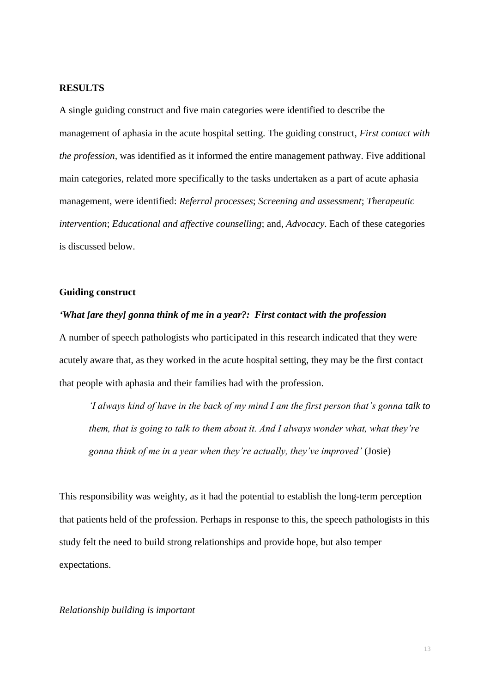#### **RESULTS**

A single guiding construct and five main categories were identified to describe the management of aphasia in the acute hospital setting. The guiding construct, *First contact with the profession,* was identified as it informed the entire management pathway. Five additional main categories, related more specifically to the tasks undertaken as a part of acute aphasia management, were identified: *Referral processes*; *Screening and assessment*; *Therapeutic intervention*; *Educational and affective counselling*; and, *Advocacy*. Each of these categories is discussed below.

## **Guiding construct**

## *'What [are they] gonna think of me in a year?: First contact with the profession*

A number of speech pathologists who participated in this research indicated that they were acutely aware that, as they worked in the acute hospital setting, they may be the first contact that people with aphasia and their families had with the profession.

*'I always kind of have in the back of my mind I am the first person that's gonna talk to them, that is going to talk to them about it. And I always wonder what, what they're gonna think of me in a year when they're actually, they've improved'* (Josie)

This responsibility was weighty, as it had the potential to establish the long-term perception that patients held of the profession. Perhaps in response to this, the speech pathologists in this study felt the need to build strong relationships and provide hope, but also temper expectations.

#### *Relationship building is important*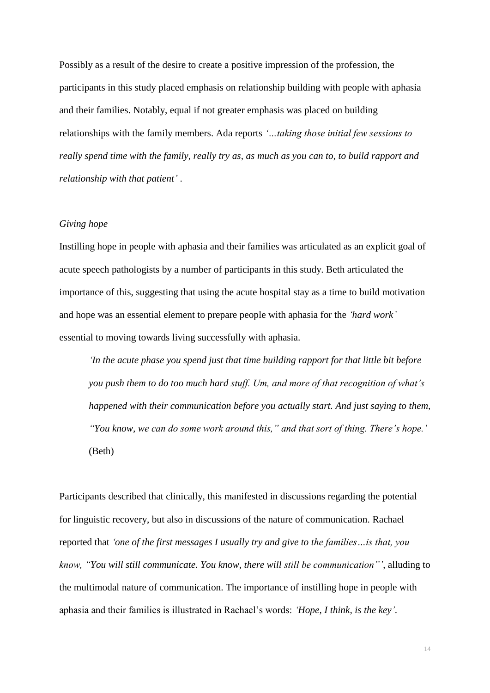Possibly as a result of the desire to create a positive impression of the profession, the participants in this study placed emphasis on relationship building with people with aphasia and their families. Notably, equal if not greater emphasis was placed on building relationships with the family members. Ada reports *'…taking those initial few sessions to really spend time with the family, really try as, as much as you can to, to build rapport and relationship with that patient'* .

## *Giving hope*

Instilling hope in people with aphasia and their families was articulated as an explicit goal of acute speech pathologists by a number of participants in this study. Beth articulated the importance of this, suggesting that using the acute hospital stay as a time to build motivation and hope was an essential element to prepare people with aphasia for the *'hard work'* essential to moving towards living successfully with aphasia.

*'In the acute phase you spend just that time building rapport for that little bit before you push them to do too much hard stuff. Um, and more of that recognition of what's happened with their communication before you actually start. And just saying to them, "You know, we can do some work around this," and that sort of thing. There's hope.'* (Beth)

Participants described that clinically, this manifested in discussions regarding the potential for linguistic recovery, but also in discussions of the nature of communication. Rachael reported that *'one of the first messages I usually try and give to the families…is that, you know, "You will still communicate. You know, there will still be communication"'*, alluding to the multimodal nature of communication. The importance of instilling hope in people with aphasia and their families is illustrated in Rachael's words: *'Hope, I think, is the key'*.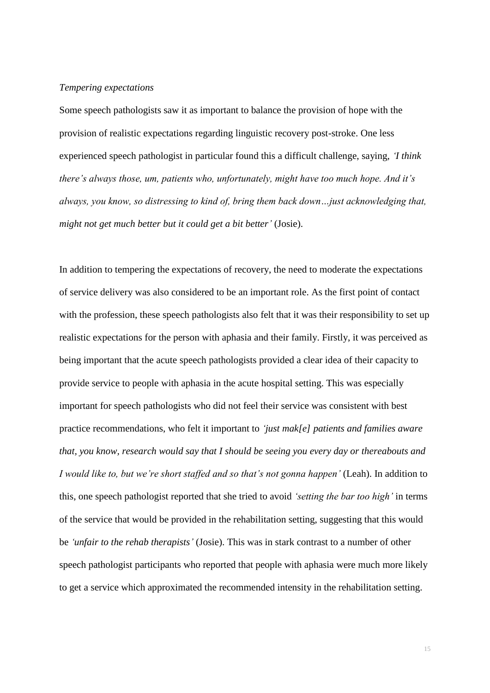## *Tempering expectations*

Some speech pathologists saw it as important to balance the provision of hope with the provision of realistic expectations regarding linguistic recovery post-stroke. One less experienced speech pathologist in particular found this a difficult challenge, saying, *'I think there's always those, um, patients who, unfortunately, might have too much hope. And it's always, you know, so distressing to kind of, bring them back down…just acknowledging that, might not get much better but it could get a bit better'* (Josie).

In addition to tempering the expectations of recovery, the need to moderate the expectations of service delivery was also considered to be an important role. As the first point of contact with the profession, these speech pathologists also felt that it was their responsibility to set up realistic expectations for the person with aphasia and their family. Firstly, it was perceived as being important that the acute speech pathologists provided a clear idea of their capacity to provide service to people with aphasia in the acute hospital setting. This was especially important for speech pathologists who did not feel their service was consistent with best practice recommendations, who felt it important to *'just mak[e] patients and families aware that, you know, research would say that I should be seeing you every day or thereabouts and I would like to, but we're short staffed and so that's not gonna happen'* (Leah). In addition to this, one speech pathologist reported that she tried to avoid *'setting the bar too high'* in terms of the service that would be provided in the rehabilitation setting, suggesting that this would be *'unfair to the rehab therapists'* (Josie). This was in stark contrast to a number of other speech pathologist participants who reported that people with aphasia were much more likely to get a service which approximated the recommended intensity in the rehabilitation setting.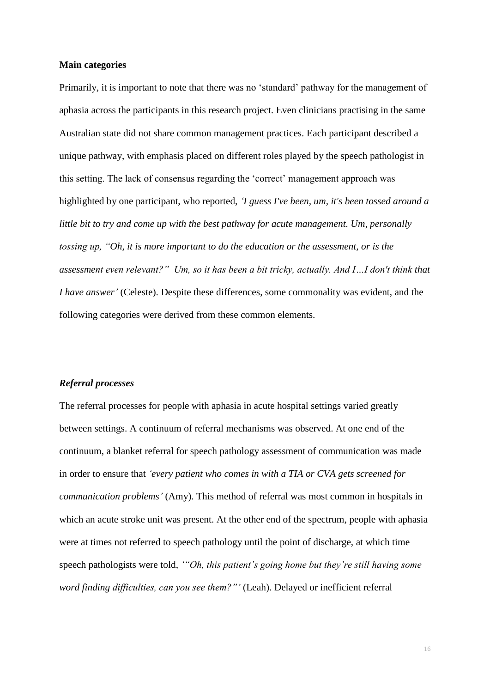#### **Main categories**

Primarily, it is important to note that there was no 'standard' pathway for the management of aphasia across the participants in this research project. Even clinicians practising in the same Australian state did not share common management practices. Each participant described a unique pathway, with emphasis placed on different roles played by the speech pathologist in this setting. The lack of consensus regarding the 'correct' management approach was highlighted by one participant, who reported, *'I guess I've been, um, it's been tossed around a little bit to try and come up with the best pathway for acute management. Um, personally tossing up, "Oh, it is more important to do the education or the assessment, or is the assessment even relevant?" Um, so it has been a bit tricky, actually. And I…I don't think that I have answer'* (Celeste). Despite these differences, some commonality was evident, and the following categories were derived from these common elements.

#### *Referral processes*

The referral processes for people with aphasia in acute hospital settings varied greatly between settings. A continuum of referral mechanisms was observed. At one end of the continuum, a blanket referral for speech pathology assessment of communication was made in order to ensure that *'every patient who comes in with a TIA or CVA gets screened for communication problems'* (Amy). This method of referral was most common in hospitals in which an acute stroke unit was present. At the other end of the spectrum, people with aphasia were at times not referred to speech pathology until the point of discharge, at which time speech pathologists were told, *'"Oh, this patient's going home but they're still having some word finding difficulties, can you see them?"'* (Leah). Delayed or inefficient referral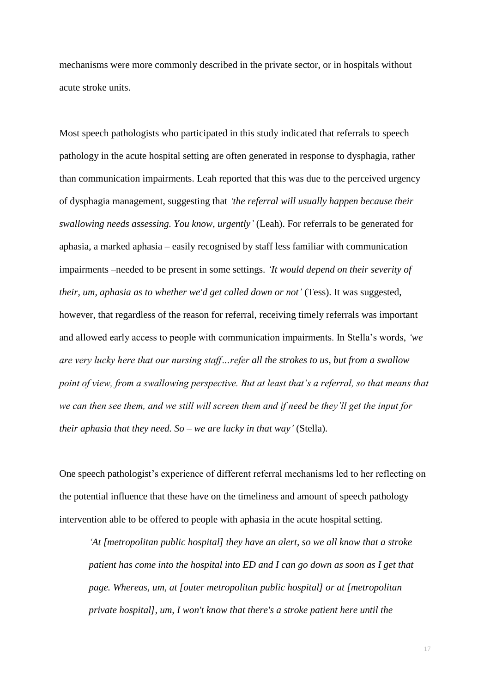mechanisms were more commonly described in the private sector, or in hospitals without acute stroke units.

Most speech pathologists who participated in this study indicated that referrals to speech pathology in the acute hospital setting are often generated in response to dysphagia, rather than communication impairments. Leah reported that this was due to the perceived urgency of dysphagia management, suggesting that *'the referral will usually happen because their swallowing needs assessing. You know, urgently'* (Leah). For referrals to be generated for aphasia, a marked aphasia – easily recognised by staff less familiar with communication impairments –needed to be present in some settings. *'It would depend on their severity of their, um, aphasia as to whether we'd get called down or not'* (Tess). It was suggested, however, that regardless of the reason for referral, receiving timely referrals was important and allowed early access to people with communication impairments. In Stella's words, *'we are very lucky here that our nursing staff…refer all the strokes to us, but from a swallow point of view, from a swallowing perspective. But at least that's a referral, so that means that we can then see them, and we still will screen them and if need be they'll get the input for their aphasia that they need. So – we are lucky in that way'* (Stella).

One speech pathologist's experience of different referral mechanisms led to her reflecting on the potential influence that these have on the timeliness and amount of speech pathology intervention able to be offered to people with aphasia in the acute hospital setting.

*'At [metropolitan public hospital] they have an alert, so we all know that a stroke patient has come into the hospital into ED and I can go down as soon as I get that page. Whereas, um, at [outer metropolitan public hospital] or at [metropolitan private hospital], um, I won't know that there's a stroke patient here until the*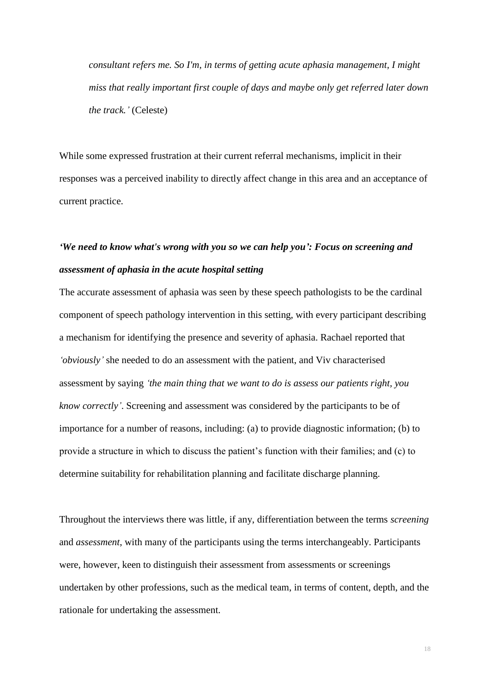*consultant refers me. So I'm, in terms of getting acute aphasia management, I might miss that really important first couple of days and maybe only get referred later down the track.'* (Celeste)

While some expressed frustration at their current referral mechanisms, implicit in their responses was a perceived inability to directly affect change in this area and an acceptance of current practice.

# *'We need to know what's wrong with you so we can help you': Focus on screening and assessment of aphasia in the acute hospital setting*

The accurate assessment of aphasia was seen by these speech pathologists to be the cardinal component of speech pathology intervention in this setting, with every participant describing a mechanism for identifying the presence and severity of aphasia. Rachael reported that *'obviously'* she needed to do an assessment with the patient, and Viv characterised assessment by saying *'the main thing that we want to do is assess our patients right, you know correctly'*. Screening and assessment was considered by the participants to be of importance for a number of reasons, including: (a) to provide diagnostic information; (b) to provide a structure in which to discuss the patient's function with their families; and (c) to determine suitability for rehabilitation planning and facilitate discharge planning.

Throughout the interviews there was little, if any, differentiation between the terms *screening*  and *assessment*, with many of the participants using the terms interchangeably. Participants were, however, keen to distinguish their assessment from assessments or screenings undertaken by other professions, such as the medical team, in terms of content, depth, and the rationale for undertaking the assessment.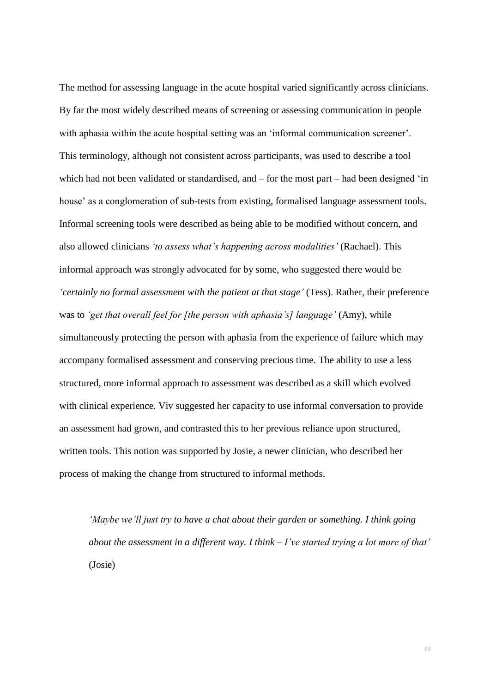The method for assessing language in the acute hospital varied significantly across clinicians. By far the most widely described means of screening or assessing communication in people with aphasia within the acute hospital setting was an 'informal communication screener'. This terminology, although not consistent across participants, was used to describe a tool which had not been validated or standardised, and – for the most part – had been designed 'in house' as a conglomeration of sub-tests from existing, formalised language assessment tools. Informal screening tools were described as being able to be modified without concern, and also allowed clinicians *'to assess what's happening across modalities'* (Rachael). This informal approach was strongly advocated for by some, who suggested there would be *'certainly no formal assessment with the patient at that stage'* (Tess). Rather, their preference was to *'get that overall feel for [the person with aphasia's] language'* (Amy), while simultaneously protecting the person with aphasia from the experience of failure which may accompany formalised assessment and conserving precious time. The ability to use a less structured, more informal approach to assessment was described as a skill which evolved with clinical experience. Viv suggested her capacity to use informal conversation to provide an assessment had grown, and contrasted this to her previous reliance upon structured, written tools. This notion was supported by Josie, a newer clinician, who described her process of making the change from structured to informal methods.

*'Maybe we'll just try to have a chat about their garden or something. I think going about the assessment in a different way. I think – I've started trying a lot more of that'* (Josie)

19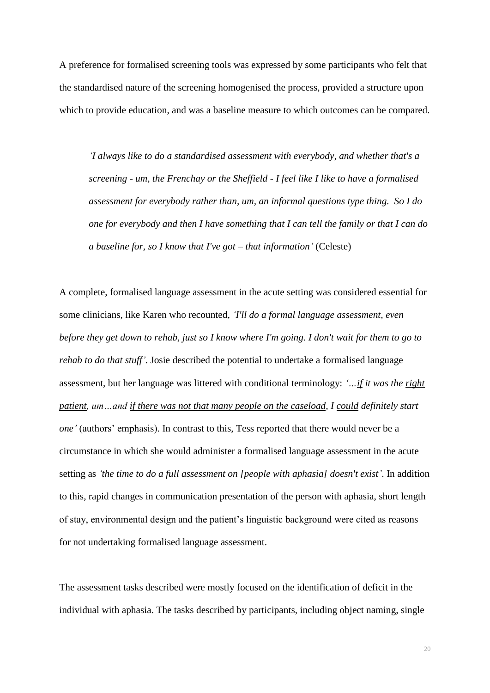A preference for formalised screening tools was expressed by some participants who felt that the standardised nature of the screening homogenised the process, provided a structure upon which to provide education, and was a baseline measure to which outcomes can be compared.

*'I always like to do a standardised assessment with everybody, and whether that's a screening - um, the Frenchay or the Sheffield - I feel like I like to have a formalised assessment for everybody rather than, um, an informal questions type thing. So I do one for everybody and then I have something that I can tell the family or that I can do a baseline for, so I know that I've got – that information'* (Celeste)

A complete, formalised language assessment in the acute setting was considered essential for some clinicians, like Karen who recounted, *'I'll do a formal language assessment, even before they get down to rehab, just so I know where I'm going. I don't wait for them to go to rehab to do that stuff'*. Josie described the potential to undertake a formalised language assessment, but her language was littered with conditional terminology: *'…if it was the right patient, um…and if there was not that many people on the caseload, I could definitely start one'* (authors' emphasis). In contrast to this, Tess reported that there would never be a circumstance in which she would administer a formalised language assessment in the acute setting as *'the time to do a full assessment on [people with aphasia] doesn't exist'*. In addition to this, rapid changes in communication presentation of the person with aphasia, short length of stay, environmental design and the patient's linguistic background were cited as reasons for not undertaking formalised language assessment.

The assessment tasks described were mostly focused on the identification of deficit in the individual with aphasia. The tasks described by participants, including object naming, single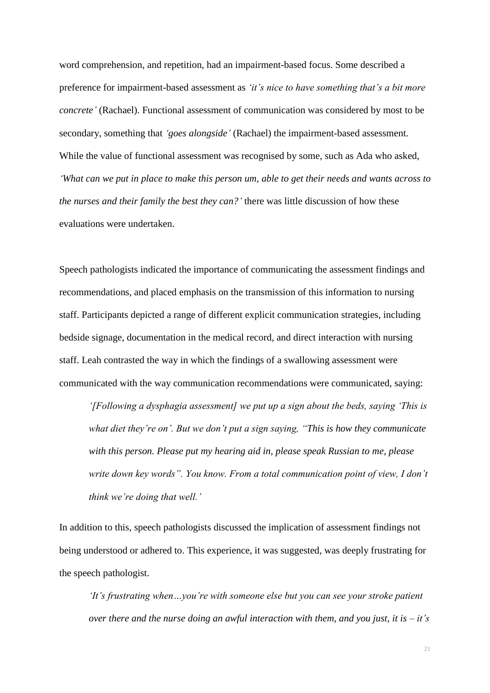word comprehension, and repetition, had an impairment-based focus. Some described a preference for impairment-based assessment as *'it's nice to have something that's a bit more concrete'* (Rachael). Functional assessment of communication was considered by most to be secondary, something that *'goes alongside'* (Rachael) the impairment-based assessment. While the value of functional assessment was recognised by some, such as Ada who asked, *'What can we put in place to make this person um, able to get their needs and wants across to the nurses and their family the best they can?'* there was little discussion of how these evaluations were undertaken.

Speech pathologists indicated the importance of communicating the assessment findings and recommendations, and placed emphasis on the transmission of this information to nursing staff. Participants depicted a range of different explicit communication strategies, including bedside signage, documentation in the medical record, and direct interaction with nursing staff. Leah contrasted the way in which the findings of a swallowing assessment were communicated with the way communication recommendations were communicated, saying:

*'[Following a dysphagia assessment] we put up a sign about the beds, saying 'This is what diet they're on'. But we don't put a sign saying, "This is how they communicate with this person. Please put my hearing aid in, please speak Russian to me, please write down key words". You know. From a total communication point of view, I don't think we're doing that well.'*

In addition to this, speech pathologists discussed the implication of assessment findings not being understood or adhered to. This experience, it was suggested, was deeply frustrating for the speech pathologist.

*'It's frustrating when…you're with someone else but you can see your stroke patient over there and the nurse doing an awful interaction with them, and you just, it is – it's*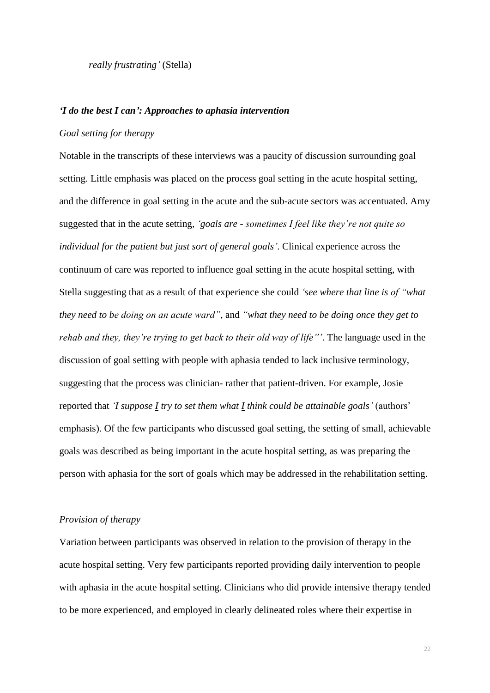*really frustrating'* (Stella)

#### *'I do the best I can': Approaches to aphasia intervention*

## *Goal setting for therapy*

Notable in the transcripts of these interviews was a paucity of discussion surrounding goal setting. Little emphasis was placed on the process goal setting in the acute hospital setting, and the difference in goal setting in the acute and the sub-acute sectors was accentuated. Amy suggested that in the acute setting, *'goals are - sometimes I feel like they're not quite so individual for the patient but just sort of general goals'*. Clinical experience across the continuum of care was reported to influence goal setting in the acute hospital setting, with Stella suggesting that as a result of that experience she could *'see where that line is of "what they need to be doing on an acute ward"*, and *"what they need to be doing once they get to rehab and they, they're trying to get back to their old way of life"'*. The language used in the discussion of goal setting with people with aphasia tended to lack inclusive terminology, suggesting that the process was clinician- rather that patient-driven. For example, Josie reported that *'I suppose I try to set them what I think could be attainable goals'* (authors' emphasis). Of the few participants who discussed goal setting, the setting of small, achievable goals was described as being important in the acute hospital setting, as was preparing the person with aphasia for the sort of goals which may be addressed in the rehabilitation setting.

#### *Provision of therapy*

Variation between participants was observed in relation to the provision of therapy in the acute hospital setting. Very few participants reported providing daily intervention to people with aphasia in the acute hospital setting. Clinicians who did provide intensive therapy tended to be more experienced, and employed in clearly delineated roles where their expertise in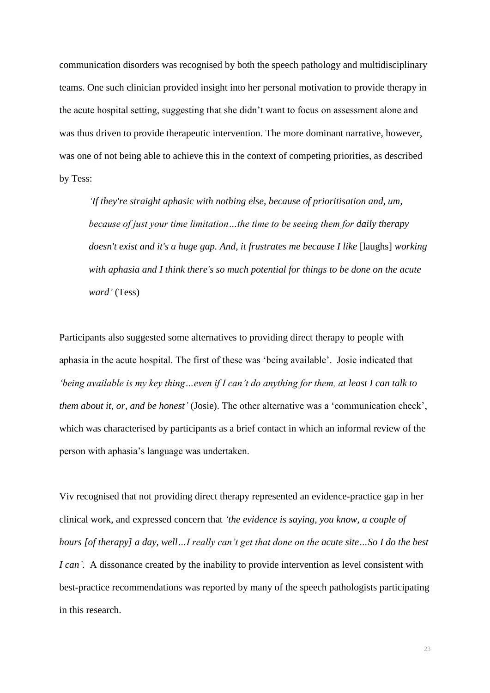communication disorders was recognised by both the speech pathology and multidisciplinary teams. One such clinician provided insight into her personal motivation to provide therapy in the acute hospital setting, suggesting that she didn't want to focus on assessment alone and was thus driven to provide therapeutic intervention. The more dominant narrative, however, was one of not being able to achieve this in the context of competing priorities, as described by Tess:

*'If they're straight aphasic with nothing else, because of prioritisation and, um, because of just your time limitation…the time to be seeing them for daily therapy doesn't exist and it's a huge gap. And, it frustrates me because I like* [laughs] *working with aphasia and I think there's so much potential for things to be done on the acute ward'* (Tess)

Participants also suggested some alternatives to providing direct therapy to people with aphasia in the acute hospital. The first of these was 'being available'. Josie indicated that *'being available is my key thing…even if I can't do anything for them, at least I can talk to them about it, or, and be honest'* (Josie). The other alternative was a 'communication check', which was characterised by participants as a brief contact in which an informal review of the person with aphasia's language was undertaken.

Viv recognised that not providing direct therapy represented an evidence-practice gap in her clinical work, and expressed concern that *'the evidence is saying, you know, a couple of hours [of therapy] a day, well…I really can't get that done on the acute site…So I do the best I can'.* A dissonance created by the inability to provide intervention as level consistent with best-practice recommendations was reported by many of the speech pathologists participating in this research.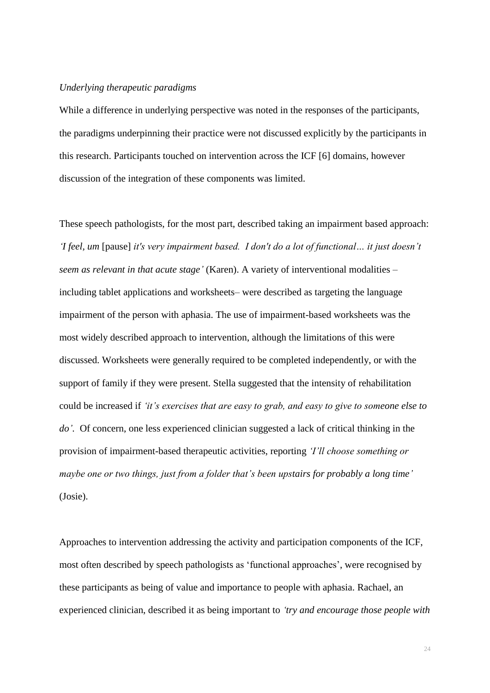### *Underlying therapeutic paradigms*

While a difference in underlying perspective was noted in the responses of the participants, the paradigms underpinning their practice were not discussed explicitly by the participants in this research. Participants touched on intervention across the ICF [\[6\]](#page-39-1) domains, however discussion of the integration of these components was limited.

These speech pathologists, for the most part, described taking an impairment based approach: *'I feel, um* [pause] *it's very impairment based. I don't do a lot of functional… it just doesn't seem as relevant in that acute stage'* (Karen). A variety of interventional modalities – including tablet applications and worksheets– were described as targeting the language impairment of the person with aphasia. The use of impairment-based worksheets was the most widely described approach to intervention, although the limitations of this were discussed. Worksheets were generally required to be completed independently, or with the support of family if they were present. Stella suggested that the intensity of rehabilitation could be increased if *'it's exercises that are easy to grab, and easy to give to someone else to do'.* Of concern, one less experienced clinician suggested a lack of critical thinking in the provision of impairment-based therapeutic activities, reporting *'I'll choose something or maybe one or two things, just from a folder that's been upstairs for probably a long time'* (Josie).

Approaches to intervention addressing the activity and participation components of the ICF, most often described by speech pathologists as 'functional approaches', were recognised by these participants as being of value and importance to people with aphasia. Rachael, an experienced clinician, described it as being important to *'try and encourage those people with*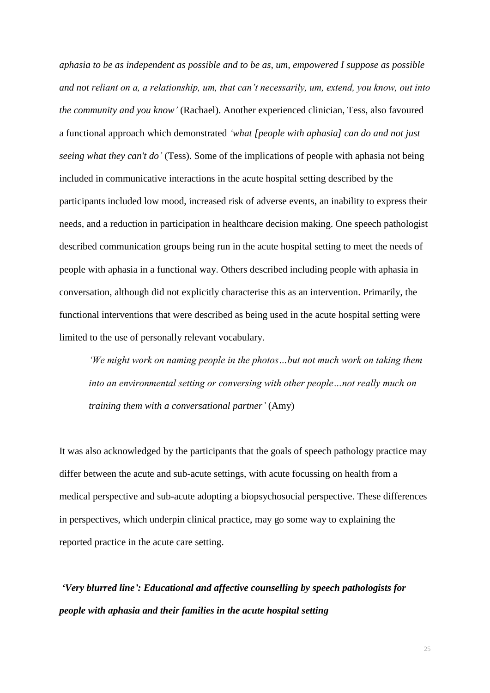*aphasia to be as independent as possible and to be as, um, empowered I suppose as possible and not reliant on a, a relationship, um, that can't necessarily, um, extend, you know, out into the community and you know'* (Rachael). Another experienced clinician, Tess, also favoured a functional approach which demonstrated *'what [people with aphasia] can do and not just seeing what they can't do'* (Tess). Some of the implications of people with aphasia not being included in communicative interactions in the acute hospital setting described by the participants included low mood, increased risk of adverse events, an inability to express their needs, and a reduction in participation in healthcare decision making. One speech pathologist described communication groups being run in the acute hospital setting to meet the needs of people with aphasia in a functional way. Others described including people with aphasia in conversation, although did not explicitly characterise this as an intervention. Primarily, the functional interventions that were described as being used in the acute hospital setting were limited to the use of personally relevant vocabulary.

*'We might work on naming people in the photos…but not much work on taking them into an environmental setting or conversing with other people…not really much on training them with a conversational partner'* (Amy)

It was also acknowledged by the participants that the goals of speech pathology practice may differ between the acute and sub-acute settings, with acute focussing on health from a medical perspective and sub-acute adopting a biopsychosocial perspective. These differences in perspectives, which underpin clinical practice, may go some way to explaining the reported practice in the acute care setting.

*'Very blurred line': Educational and affective counselling by speech pathologists for people with aphasia and their families in the acute hospital setting*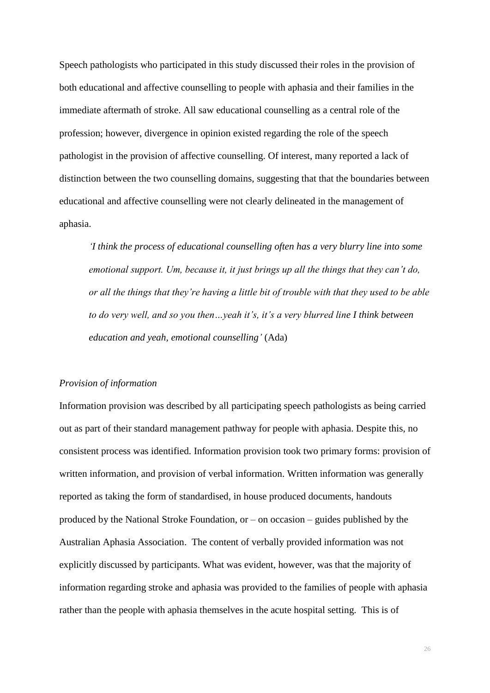Speech pathologists who participated in this study discussed their roles in the provision of both educational and affective counselling to people with aphasia and their families in the immediate aftermath of stroke. All saw educational counselling as a central role of the profession; however, divergence in opinion existed regarding the role of the speech pathologist in the provision of affective counselling. Of interest, many reported a lack of distinction between the two counselling domains, suggesting that that the boundaries between educational and affective counselling were not clearly delineated in the management of aphasia.

*'I think the process of educational counselling often has a very blurry line into some emotional support. Um, because it, it just brings up all the things that they can't do, or all the things that they're having a little bit of trouble with that they used to be able to do very well, and so you then…yeah it's, it's a very blurred line I think between education and yeah, emotional counselling'* (Ada)

#### *Provision of information*

Information provision was described by all participating speech pathologists as being carried out as part of their standard management pathway for people with aphasia. Despite this, no consistent process was identified. Information provision took two primary forms: provision of written information, and provision of verbal information. Written information was generally reported as taking the form of standardised, in house produced documents, handouts produced by the National Stroke Foundation, or – on occasion – guides published by the Australian Aphasia Association. The content of verbally provided information was not explicitly discussed by participants. What was evident, however, was that the majority of information regarding stroke and aphasia was provided to the families of people with aphasia rather than the people with aphasia themselves in the acute hospital setting. This is of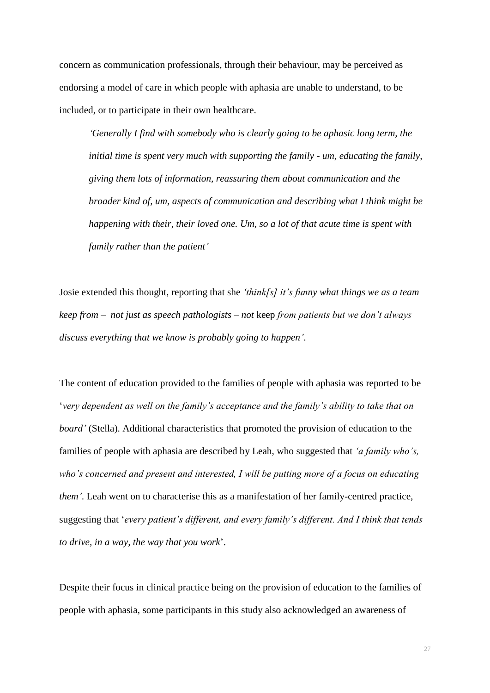concern as communication professionals, through their behaviour, may be perceived as endorsing a model of care in which people with aphasia are unable to understand, to be included, or to participate in their own healthcare.

*'Generally I find with somebody who is clearly going to be aphasic long term, the initial time is spent very much with supporting the family - um, educating the family, giving them lots of information, reassuring them about communication and the broader kind of, um, aspects of communication and describing what I think might be happening with their, their loved one. Um, so a lot of that acute time is spent with family rather than the patient'*

Josie extended this thought, reporting that she *'think[s] it's funny what things we as a team keep from – not just as speech pathologists – not* keep *from patients but we don't always discuss everything that we know is probably going to happen'*.

The content of education provided to the families of people with aphasia was reported to be '*very dependent as well on the family's acceptance and the family's ability to take that on board'* (Stella). Additional characteristics that promoted the provision of education to the families of people with aphasia are described by Leah, who suggested that *'a family who's, who's concerned and present and interested, I will be putting more of a focus on educating them'*. Leah went on to characterise this as a manifestation of her family-centred practice, suggesting that '*every patient's different, and every family's different. And I think that tends to drive, in a way, the way that you work*'.

Despite their focus in clinical practice being on the provision of education to the families of people with aphasia, some participants in this study also acknowledged an awareness of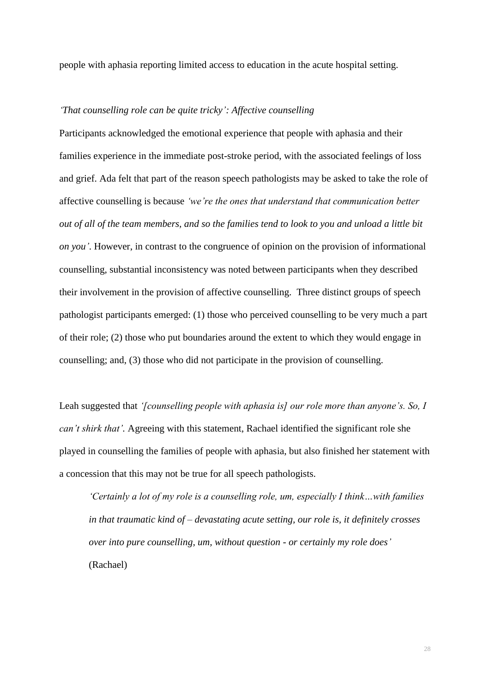people with aphasia reporting limited access to education in the acute hospital setting.

## *'That counselling role can be quite tricky': Affective counselling*

Participants acknowledged the emotional experience that people with aphasia and their families experience in the immediate post-stroke period, with the associated feelings of loss and grief. Ada felt that part of the reason speech pathologists may be asked to take the role of affective counselling is because *'we're the ones that understand that communication better out of all of the team members, and so the families tend to look to you and unload a little bit on you'*. However, in contrast to the congruence of opinion on the provision of informational counselling, substantial inconsistency was noted between participants when they described their involvement in the provision of affective counselling. Three distinct groups of speech pathologist participants emerged: (1) those who perceived counselling to be very much a part of their role; (2) those who put boundaries around the extent to which they would engage in counselling; and, (3) those who did not participate in the provision of counselling.

Leah suggested that *'[counselling people with aphasia is] our role more than anyone's. So, I can't shirk that'.* Agreeing with this statement, Rachael identified the significant role she played in counselling the families of people with aphasia, but also finished her statement with a concession that this may not be true for all speech pathologists.

*'Certainly a lot of my role is a counselling role, um, especially I think…with families in that traumatic kind of – devastating acute setting, our role is, it definitely crosses over into pure counselling, um, without question - or certainly my role does'* (Rachael)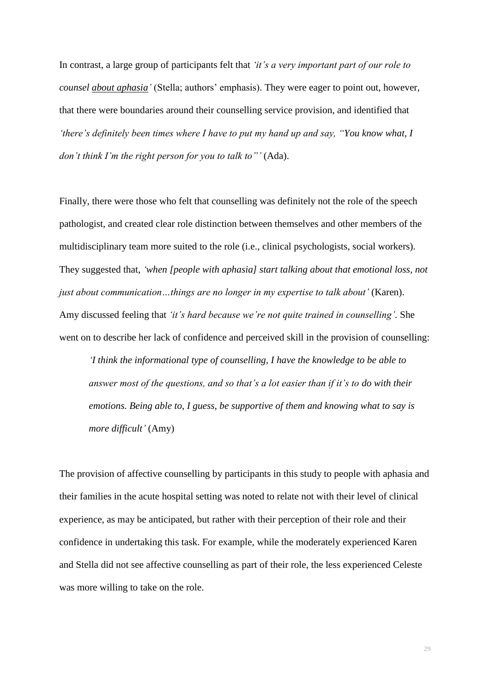In contrast, a large group of participants felt that *'it's a very important part of our role to counsel about aphasia'* (Stella; authors' emphasis). They were eager to point out, however, that there were boundaries around their counselling service provision, and identified that *'there's definitely been times where I have to put my hand up and say, "You know what, I don't think I'm the right person for you to talk to"'* (Ada).

Finally, there were those who felt that counselling was definitely not the role of the speech pathologist, and created clear role distinction between themselves and other members of the multidisciplinary team more suited to the role (i.e., clinical psychologists, social workers). They suggested that, *'when [people with aphasia] start talking about that emotional loss, not just about communication…things are no longer in my expertise to talk about'* (Karen). Amy discussed feeling that *'it's hard because we're not quite trained in counselling'.* She went on to describe her lack of confidence and perceived skill in the provision of counselling:

*'I think the informational type of counselling, I have the knowledge to be able to answer most of the questions, and so that's a lot easier than if it's to do with their emotions. Being able to, I guess, be supportive of them and knowing what to say is more difficult'* (Amy)

The provision of affective counselling by participants in this study to people with aphasia and their families in the acute hospital setting was noted to relate not with their level of clinical experience, as may be anticipated, but rather with their perception of their role and their confidence in undertaking this task. For example, while the moderately experienced Karen and Stella did not see affective counselling as part of their role, the less experienced Celeste was more willing to take on the role.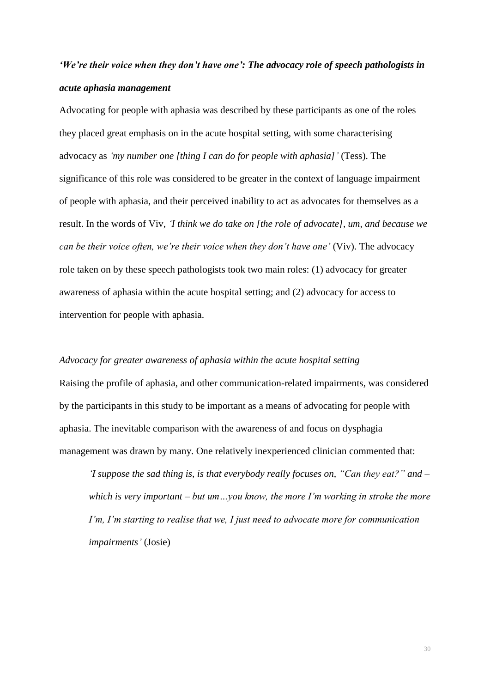# *'We're their voice when they don't have one': The advocacy role of speech pathologists in acute aphasia management*

Advocating for people with aphasia was described by these participants as one of the roles they placed great emphasis on in the acute hospital setting, with some characterising advocacy as *'my number one [thing I can do for people with aphasia]'* (Tess). The significance of this role was considered to be greater in the context of language impairment of people with aphasia, and their perceived inability to act as advocates for themselves as a result. In the words of Viv, *'I think we do take on [the role of advocate], um, and because we can be their voice often, we're their voice when they don't have one'* (Viv). The advocacy role taken on by these speech pathologists took two main roles: (1) advocacy for greater awareness of aphasia within the acute hospital setting; and (2) advocacy for access to intervention for people with aphasia.

### *Advocacy for greater awareness of aphasia within the acute hospital setting*

Raising the profile of aphasia, and other communication-related impairments, was considered by the participants in this study to be important as a means of advocating for people with aphasia. The inevitable comparison with the awareness of and focus on dysphagia management was drawn by many. One relatively inexperienced clinician commented that:

*'I suppose the sad thing is, is that everybody really focuses on, "Can they eat?" and – which is very important – but um…you know, the more I'm working in stroke the more I'm, I'm starting to realise that we, I just need to advocate more for communication impairments'* (Josie)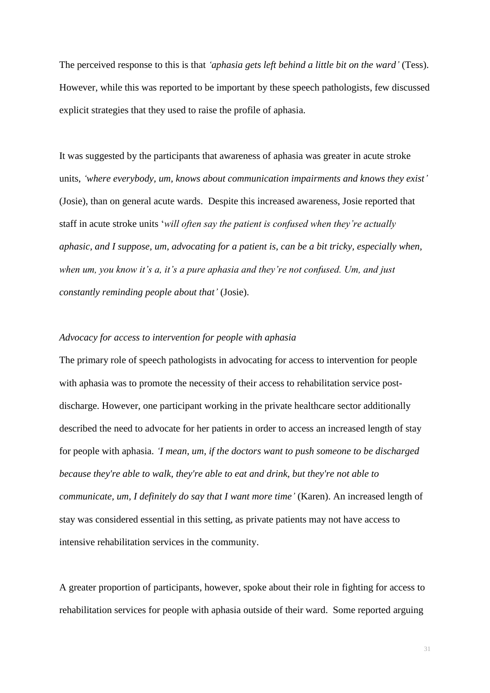The perceived response to this is that *'aphasia gets left behind a little bit on the ward'* (Tess). However, while this was reported to be important by these speech pathologists, few discussed explicit strategies that they used to raise the profile of aphasia.

It was suggested by the participants that awareness of aphasia was greater in acute stroke units, *'where everybody, um, knows about communication impairments and knows they exist'* (Josie), than on general acute wards. Despite this increased awareness, Josie reported that staff in acute stroke units '*will often say the patient is confused when they're actually aphasic, and I suppose, um, advocating for a patient is, can be a bit tricky, especially when, when um, you know it's a, it's a pure aphasia and they're not confused. Um, and just constantly reminding people about that'* (Josie).

## *Advocacy for access to intervention for people with aphasia*

The primary role of speech pathologists in advocating for access to intervention for people with aphasia was to promote the necessity of their access to rehabilitation service postdischarge. However, one participant working in the private healthcare sector additionally described the need to advocate for her patients in order to access an increased length of stay for people with aphasia. *'I mean, um, if the doctors want to push someone to be discharged because they're able to walk, they're able to eat and drink, but they're not able to communicate, um, I definitely do say that I want more time'* (Karen). An increased length of stay was considered essential in this setting, as private patients may not have access to intensive rehabilitation services in the community.

A greater proportion of participants, however, spoke about their role in fighting for access to rehabilitation services for people with aphasia outside of their ward. Some reported arguing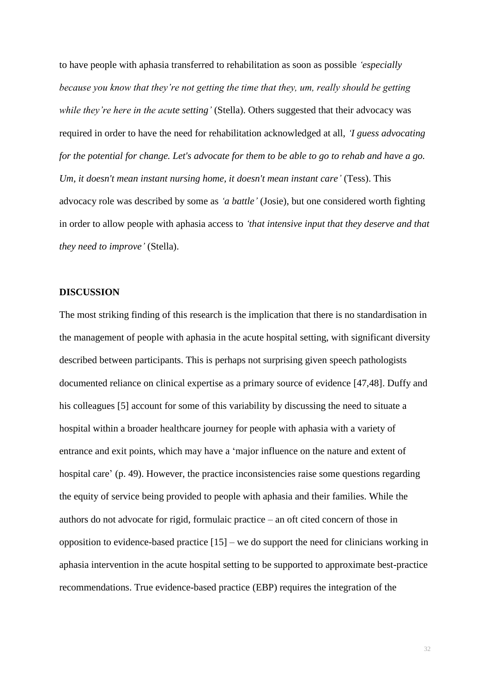to have people with aphasia transferred to rehabilitation as soon as possible *'especially because you know that they're not getting the time that they, um, really should be getting while they're here in the acute setting'* (Stella). Others suggested that their advocacy was required in order to have the need for rehabilitation acknowledged at all, *'I guess advocating for the potential for change. Let's advocate for them to be able to go to rehab and have a go. Um, it doesn't mean instant nursing home, it doesn't mean instant care'* (Tess). This advocacy role was described by some as *'a battle'* (Josie), but one considered worth fighting in order to allow people with aphasia access to *'that intensive input that they deserve and that they need to improve'* (Stella).

## **DISCUSSION**

The most striking finding of this research is the implication that there is no standardisation in the management of people with aphasia in the acute hospital setting, with significant diversity described between participants. This is perhaps not surprising given speech pathologists documented reliance on clinical expertise as a primary source of evidence [\[47](#page-43-1)[,48\]](#page-43-2). Duffy and his colleagues [\[5\]](#page-39-0) account for some of this variability by discussing the need to situate a hospital within a broader healthcare journey for people with aphasia with a variety of entrance and exit points, which may have a 'major influence on the nature and extent of hospital care' (p. 49). However, the practice inconsistencies raise some questions regarding the equity of service being provided to people with aphasia and their families. While the authors do not advocate for rigid, formulaic practice – an oft cited concern of those in opposition to evidence-based practice [\[15\]](#page-40-1) – we do support the need for clinicians working in aphasia intervention in the acute hospital setting to be supported to approximate best-practice recommendations. True evidence-based practice (EBP) requires the integration of the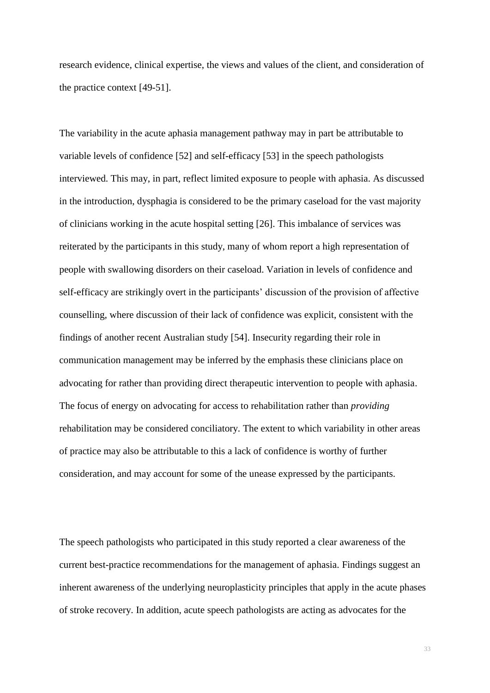research evidence, clinical expertise, the views and values of the client, and consideration of the practice context [\[49-51\]](#page-43-3).

The variability in the acute aphasia management pathway may in part be attributable to variable levels of confidence [\[52\]](#page-43-4) and self-efficacy [\[53\]](#page-43-5) in the speech pathologists interviewed. This may, in part, reflect limited exposure to people with aphasia. As discussed in the introduction, dysphagia is considered to be the primary caseload for the vast majority of clinicians working in the acute hospital setting [\[26\]](#page-41-2). This imbalance of services was reiterated by the participants in this study, many of whom report a high representation of people with swallowing disorders on their caseload. Variation in levels of confidence and self-efficacy are strikingly overt in the participants' discussion of the provision of affective counselling, where discussion of their lack of confidence was explicit, consistent with the findings of another recent Australian study [\[54\]](#page-43-6). Insecurity regarding their role in communication management may be inferred by the emphasis these clinicians place on advocating for rather than providing direct therapeutic intervention to people with aphasia. The focus of energy on advocating for access to rehabilitation rather than *providing* rehabilitation may be considered conciliatory. The extent to which variability in other areas of practice may also be attributable to this a lack of confidence is worthy of further consideration, and may account for some of the unease expressed by the participants.

The speech pathologists who participated in this study reported a clear awareness of the current best-practice recommendations for the management of aphasia. Findings suggest an inherent awareness of the underlying neuroplasticity principles that apply in the acute phases of stroke recovery. In addition, acute speech pathologists are acting as advocates for the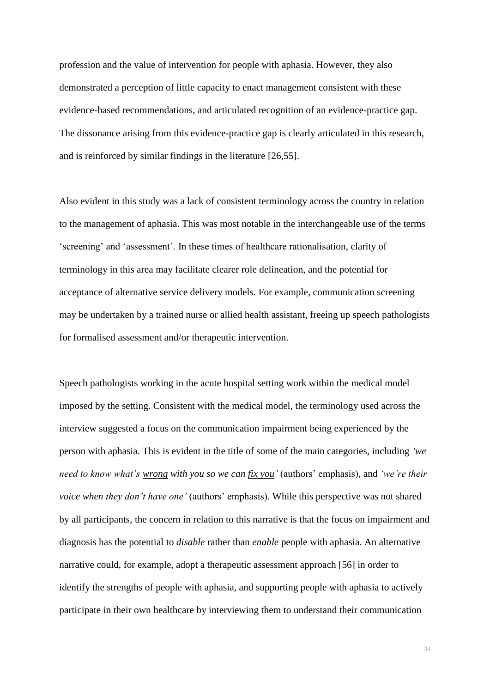profession and the value of intervention for people with aphasia. However, they also demonstrated a perception of little capacity to enact management consistent with these evidence-based recommendations, and articulated recognition of an evidence-practice gap. The dissonance arising from this evidence-practice gap is clearly articulated in this research, and is reinforced by similar findings in the literature [\[26](#page-41-2)[,55\]](#page-44-0).

Also evident in this study was a lack of consistent terminology across the country in relation to the management of aphasia. This was most notable in the interchangeable use of the terms 'screening' and 'assessment'. In these times of healthcare rationalisation, clarity of terminology in this area may facilitate clearer role delineation, and the potential for acceptance of alternative service delivery models. For example, communication screening may be undertaken by a trained nurse or allied health assistant, freeing up speech pathologists for formalised assessment and/or therapeutic intervention.

Speech pathologists working in the acute hospital setting work within the medical model imposed by the setting. Consistent with the medical model, the terminology used across the interview suggested a focus on the communication impairment being experienced by the person with aphasia. This is evident in the title of some of the main categories, including *'we need to know what's wrong with you so we can fix you'* (authors' emphasis), and *'we're their voice when they don't have one'* (authors' emphasis). While this perspective was not shared by all participants, the concern in relation to this narrative is that the focus on impairment and diagnosis has the potential to *disable* rather than *enable* people with aphasia. An alternative narrative could, for example, adopt a therapeutic assessment approach [\[56\]](#page-44-1) in order to identify the strengths of people with aphasia, and supporting people with aphasia to actively participate in their own healthcare by interviewing them to understand their communication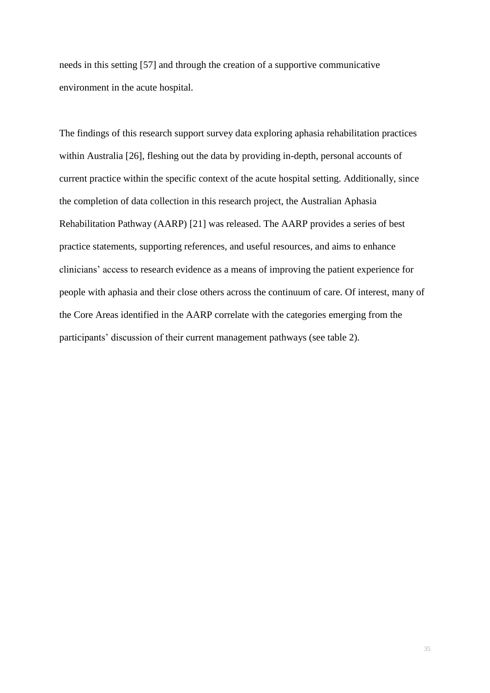needs in this setting [\[57\]](#page-44-2) and through the creation of a supportive communicative environment in the acute hospital.

The findings of this research support survey data exploring aphasia rehabilitation practices within Australia [\[26\]](#page-41-2), fleshing out the data by providing in-depth, personal accounts of current practice within the specific context of the acute hospital setting. Additionally, since the completion of data collection in this research project, the Australian Aphasia Rehabilitation Pathway (AARP) [\[21\]](#page-40-4) was released. The AARP provides a series of best practice statements, supporting references, and useful resources, and aims to enhance clinicians' access to research evidence as a means of improving the patient experience for people with aphasia and their close others across the continuum of care. Of interest, many of the Core Areas identified in the AARP correlate with the categories emerging from the participants' discussion of their current management pathways (see table 2).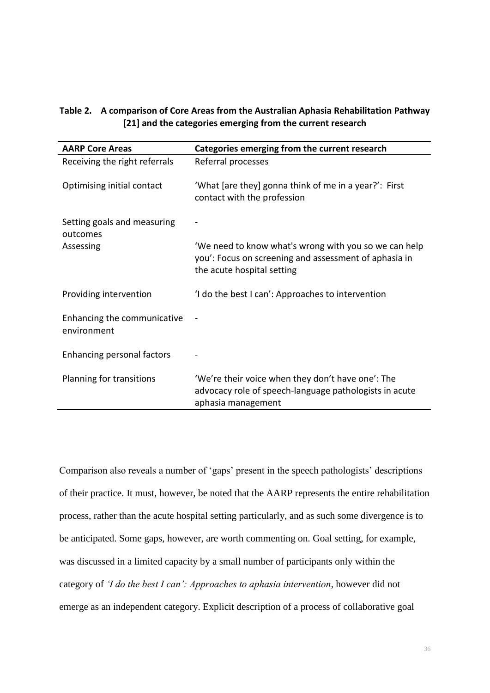## **Table 2. A comparison of Core Areas from the Australian Aphasia Rehabilitation Pathway [\[21\]](#page-40-4) and the categories emerging from the current research**

| <b>AARP Core Areas</b>                     | Categories emerging from the current research                                                                                                |
|--------------------------------------------|----------------------------------------------------------------------------------------------------------------------------------------------|
| Receiving the right referrals              | Referral processes                                                                                                                           |
| Optimising initial contact                 | 'What [are they] gonna think of me in a year?': First<br>contact with the profession                                                         |
| Setting goals and measuring<br>outcomes    |                                                                                                                                              |
| Assessing                                  | 'We need to know what's wrong with you so we can help<br>you': Focus on screening and assessment of aphasia in<br>the acute hospital setting |
| Providing intervention                     | 'I do the best I can': Approaches to intervention                                                                                            |
| Enhancing the communicative<br>environment |                                                                                                                                              |
| Enhancing personal factors                 |                                                                                                                                              |
| Planning for transitions                   | 'We're their voice when they don't have one': The<br>advocacy role of speech-language pathologists in acute<br>aphasia management            |

Comparison also reveals a number of 'gaps' present in the speech pathologists' descriptions of their practice. It must, however, be noted that the AARP represents the entire rehabilitation process, rather than the acute hospital setting particularly, and as such some divergence is to be anticipated. Some gaps, however, are worth commenting on. Goal setting, for example, was discussed in a limited capacity by a small number of participants only within the category of *'I do the best I can': Approaches to aphasia intervention*, however did not emerge as an independent category. Explicit description of a process of collaborative goal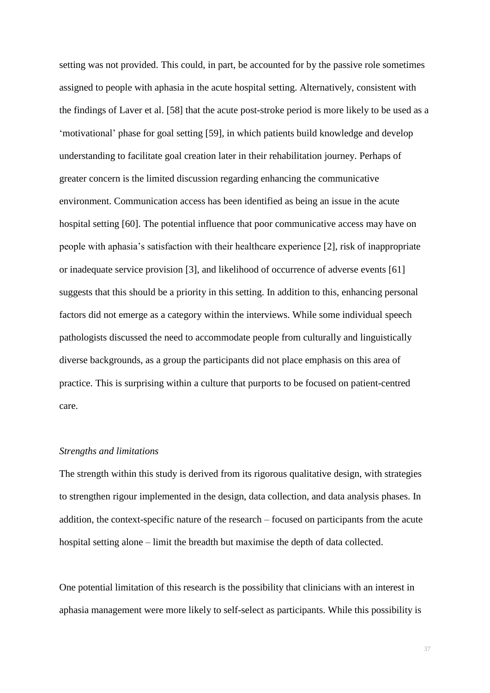setting was not provided. This could, in part, be accounted for by the passive role sometimes assigned to people with aphasia in the acute hospital setting. Alternatively, consistent with the findings of Laver et al. [\[58\]](#page-44-3) that the acute post-stroke period is more likely to be used as a 'motivational' phase for goal setting [\[59\]](#page-44-4), in which patients build knowledge and develop understanding to facilitate goal creation later in their rehabilitation journey. Perhaps of greater concern is the limited discussion regarding enhancing the communicative environment. Communication access has been identified as being an issue in the acute hospital setting [\[60\]](#page-44-5). The potential influence that poor communicative access may have on people with aphasia's satisfaction with their healthcare experience [\[2\]](#page-38-1), risk of inappropriate or inadequate service provision [\[3\]](#page-38-2), and likelihood of occurrence of adverse events [\[61\]](#page-44-6) suggests that this should be a priority in this setting. In addition to this, enhancing personal factors did not emerge as a category within the interviews. While some individual speech pathologists discussed the need to accommodate people from culturally and linguistically diverse backgrounds, as a group the participants did not place emphasis on this area of practice. This is surprising within a culture that purports to be focused on patient-centred care.

## *Strengths and limitations*

The strength within this study is derived from its rigorous qualitative design, with strategies to strengthen rigour implemented in the design, data collection, and data analysis phases. In addition, the context-specific nature of the research – focused on participants from the acute hospital setting alone – limit the breadth but maximise the depth of data collected.

One potential limitation of this research is the possibility that clinicians with an interest in aphasia management were more likely to self-select as participants. While this possibility is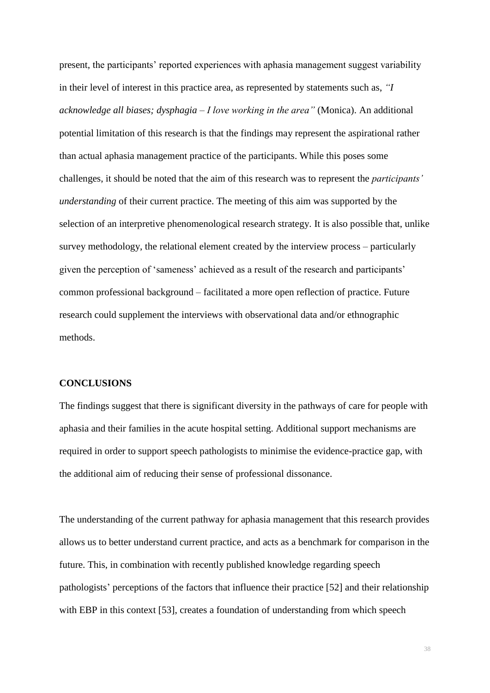present, the participants' reported experiences with aphasia management suggest variability in their level of interest in this practice area, as represented by statements such as, *"I acknowledge all biases; dysphagia – I love working in the area"* (Monica). An additional potential limitation of this research is that the findings may represent the aspirational rather than actual aphasia management practice of the participants. While this poses some challenges, it should be noted that the aim of this research was to represent the *participants' understanding* of their current practice. The meeting of this aim was supported by the selection of an interpretive phenomenological research strategy. It is also possible that, unlike survey methodology, the relational element created by the interview process – particularly given the perception of 'sameness' achieved as a result of the research and participants' common professional background – facilitated a more open reflection of practice. Future research could supplement the interviews with observational data and/or ethnographic methods.

## **CONCLUSIONS**

The findings suggest that there is significant diversity in the pathways of care for people with aphasia and their families in the acute hospital setting. Additional support mechanisms are required in order to support speech pathologists to minimise the evidence-practice gap, with the additional aim of reducing their sense of professional dissonance.

The understanding of the current pathway for aphasia management that this research provides allows us to better understand current practice, and acts as a benchmark for comparison in the future. This, in combination with recently published knowledge regarding speech pathologists' perceptions of the factors that influence their practice [\[52\]](#page-43-4) and their relationship with EBP in this context [\[53\]](#page-43-5), creates a foundation of understanding from which speech

38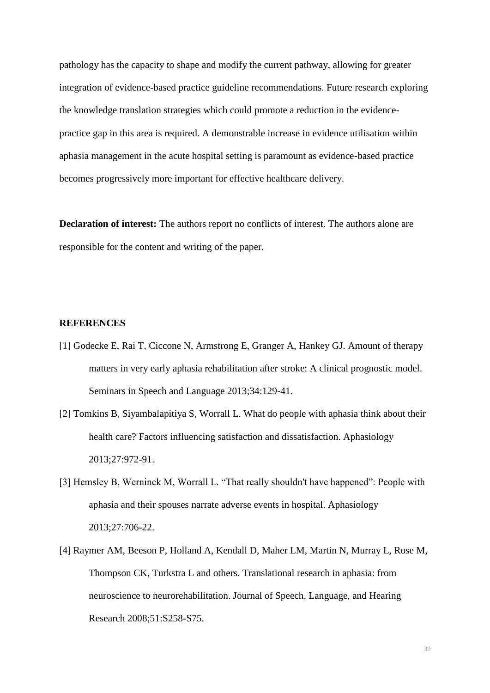pathology has the capacity to shape and modify the current pathway, allowing for greater integration of evidence-based practice guideline recommendations. Future research exploring the knowledge translation strategies which could promote a reduction in the evidencepractice gap in this area is required. A demonstrable increase in evidence utilisation within aphasia management in the acute hospital setting is paramount as evidence-based practice becomes progressively more important for effective healthcare delivery.

**Declaration of interest:** The authors report no conflicts of interest. The authors alone are responsible for the content and writing of the paper.

#### **REFERENCES**

- <span id="page-38-0"></span>[1] Godecke E, Rai T, Ciccone N, Armstrong E, Granger A, Hankey GJ. Amount of therapy matters in very early aphasia rehabilitation after stroke: A clinical prognostic model. Seminars in Speech and Language 2013;34:129-41.
- <span id="page-38-1"></span>[2] Tomkins B, Siyambalapitiya S, Worrall L. What do people with aphasia think about their health care? Factors influencing satisfaction and dissatisfaction. Aphasiology 2013;27:972-91.
- <span id="page-38-2"></span>[3] Hemsley B, Werninck M, Worrall L. "That really shouldn't have happened": People with aphasia and their spouses narrate adverse events in hospital. Aphasiology 2013;27:706-22.
- <span id="page-38-3"></span>[4] Raymer AM, Beeson P, Holland A, Kendall D, Maher LM, Martin N, Murray L, Rose M, Thompson CK, Turkstra L and others. Translational research in aphasia: from neuroscience to neurorehabilitation. Journal of Speech, Language, and Hearing Research 2008;51:S258-S75.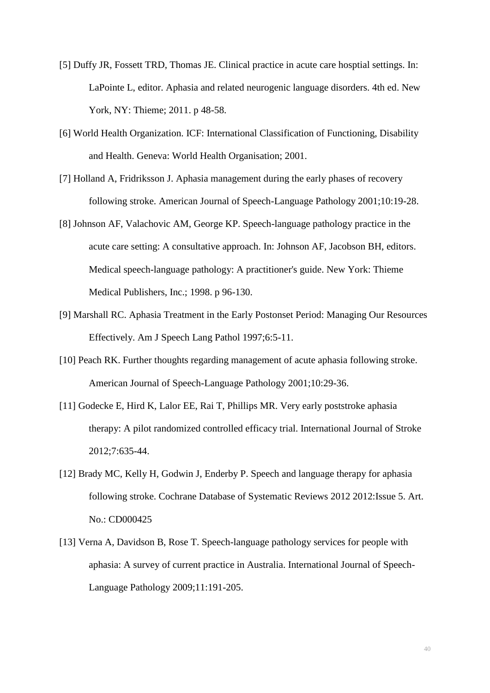- <span id="page-39-0"></span>[5] Duffy JR, Fossett TRD, Thomas JE. Clinical practice in acute care hosptial settings. In: LaPointe L, editor. Aphasia and related neurogenic language disorders. 4th ed. New York, NY: Thieme; 2011. p 48-58.
- <span id="page-39-1"></span>[6] World Health Organization. ICF: International Classification of Functioning, Disability and Health. Geneva: World Health Organisation; 2001.
- <span id="page-39-2"></span>[7] Holland A, Fridriksson J. Aphasia management during the early phases of recovery following stroke. American Journal of Speech-Language Pathology 2001;10:19-28.
- [8] Johnson AF, Valachovic AM, George KP. Speech-language pathology practice in the acute care setting: A consultative approach. In: Johnson AF, Jacobson BH, editors. Medical speech-language pathology: A practitioner's guide. New York: Thieme Medical Publishers, Inc.; 1998. p 96-130.
- [9] Marshall RC. Aphasia Treatment in the Early Postonset Period: Managing Our Resources Effectively. Am J Speech Lang Pathol 1997;6:5-11.
- <span id="page-39-3"></span>[10] Peach RK. Further thoughts regarding management of acute aphasia following stroke. American Journal of Speech-Language Pathology 2001;10:29-36.
- <span id="page-39-4"></span>[11] Godecke E, Hird K, Lalor EE, Rai T, Phillips MR. Very early poststroke aphasia therapy: A pilot randomized controlled efficacy trial. International Journal of Stroke 2012;7:635-44.
- <span id="page-39-5"></span>[12] Brady MC, Kelly H, Godwin J, Enderby P. Speech and language therapy for aphasia following stroke. Cochrane Database of Systematic Reviews 2012 2012:Issue 5. Art. No.: CD000425
- <span id="page-39-6"></span>[13] Verna A, Davidson B, Rose T. Speech-language pathology services for people with aphasia: A survey of current practice in Australia. International Journal of Speech-Language Pathology 2009;11:191-205.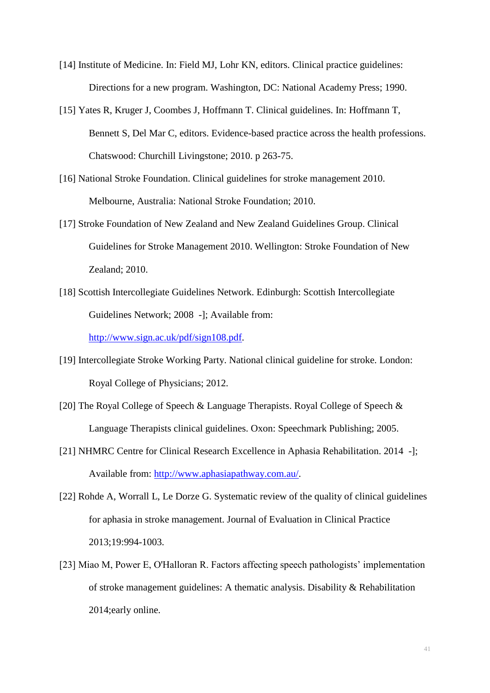- <span id="page-40-0"></span>[14] Institute of Medicine. In: Field MJ, Lohr KN, editors. Clinical practice guidelines: Directions for a new program. Washington, DC: National Academy Press; 1990.
- <span id="page-40-1"></span>[15] Yates R, Kruger J, Coombes J, Hoffmann T. Clinical guidelines. In: Hoffmann T, Bennett S, Del Mar C, editors. Evidence-based practice across the health professions. Chatswood: Churchill Livingstone; 2010. p 263-75.
- <span id="page-40-2"></span>[16] National Stroke Foundation. Clinical guidelines for stroke management 2010. Melbourne, Australia: National Stroke Foundation; 2010.
- <span id="page-40-3"></span>[17] Stroke Foundation of New Zealand and New Zealand Guidelines Group. Clinical Guidelines for Stroke Management 2010. Wellington: Stroke Foundation of New Zealand; 2010.
- <span id="page-40-6"></span>[18] Scottish Intercollegiate Guidelines Network. Edinburgh: Scottish Intercollegiate Guidelines Network; 2008 -]; Available from:

[http://www.sign.ac.uk/pdf/sign108.pdf.](http://www.sign.ac.uk/pdf/sign108.pdf)

- [19] Intercollegiate Stroke Working Party. National clinical guideline for stroke. London: Royal College of Physicians; 2012.
- [20] The Royal College of Speech & Language Therapists. Royal College of Speech & Language Therapists clinical guidelines. Oxon: Speechmark Publishing; 2005.
- <span id="page-40-4"></span>[21] NHMRC Centre for Clinical Research Excellence in Aphasia Rehabilitation. 2014 -]; Available from: [http://www.aphasiapathway.com.au/.](http://www.aphasiapathway.com.au/)
- <span id="page-40-5"></span>[22] Rohde A, Worrall L, Le Dorze G. Systematic review of the quality of clinical guidelines for aphasia in stroke management. Journal of Evaluation in Clinical Practice 2013;19:994-1003.
- <span id="page-40-7"></span>[23] Miao M, Power E, O'Halloran R. Factors affecting speech pathologists' implementation of stroke management guidelines: A thematic analysis. Disability & Rehabilitation 2014;early online.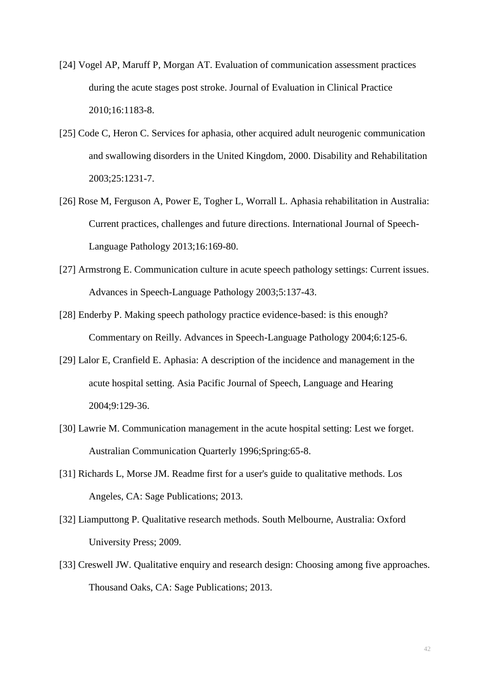- <span id="page-41-0"></span>[24] Vogel AP, Maruff P, Morgan AT. Evaluation of communication assessment practices during the acute stages post stroke. Journal of Evaluation in Clinical Practice 2010;16:1183-8.
- <span id="page-41-1"></span>[25] Code C, Heron C. Services for aphasia, other acquired adult neurogenic communication and swallowing disorders in the United Kingdom, 2000. Disability and Rehabilitation 2003;25:1231-7.
- <span id="page-41-2"></span>[26] Rose M, Ferguson A, Power E, Togher L, Worrall L. Aphasia rehabilitation in Australia: Current practices, challenges and future directions. International Journal of Speech-Language Pathology 2013;16:169-80.
- <span id="page-41-3"></span>[27] Armstrong E. Communication culture in acute speech pathology settings: Current issues. Advances in Speech-Language Pathology 2003;5:137-43.
- <span id="page-41-4"></span>[28] Enderby P. Making speech pathology practice evidence-based: is this enough? Commentary on Reilly. Advances in Speech-Language Pathology 2004;6:125-6.
- [29] Lalor E, Cranfield E. Aphasia: A description of the incidence and management in the acute hospital setting. Asia Pacific Journal of Speech, Language and Hearing 2004;9:129-36.
- [30] Lawrie M. Communication management in the acute hospital setting: Lest we forget. Australian Communication Quarterly 1996;Spring:65-8.
- <span id="page-41-5"></span>[31] Richards L, Morse JM. Readme first for a user's guide to qualitative methods. Los Angeles, CA: Sage Publications; 2013.
- <span id="page-41-6"></span>[32] Liamputtong P. Qualitative research methods. South Melbourne, Australia: Oxford University Press; 2009.
- <span id="page-41-7"></span>[33] Creswell JW. Qualitative enquiry and research design: Choosing among five approaches. Thousand Oaks, CA: Sage Publications; 2013.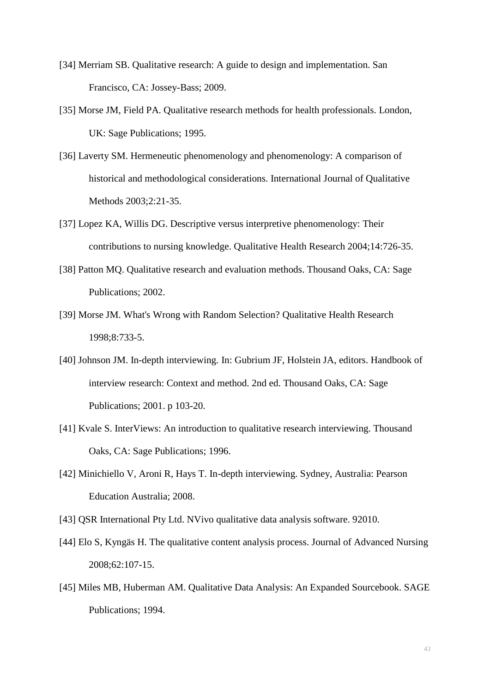- [34] Merriam SB. Qualitative research: A guide to design and implementation. San Francisco, CA: Jossey-Bass; 2009.
- <span id="page-42-0"></span>[35] Morse JM, Field PA. Qualitative research methods for health professionals. London, UK: Sage Publications; 1995.
- <span id="page-42-1"></span>[36] Laverty SM. Hermeneutic phenomenology and phenomenology: A comparison of historical and methodological considerations. International Journal of Qualitative Methods 2003;2:21-35.
- <span id="page-42-2"></span>[37] Lopez KA, Willis DG. Descriptive versus interpretive phenomenology: Their contributions to nursing knowledge. Qualitative Health Research 2004;14:726-35.
- <span id="page-42-3"></span>[38] Patton MQ. Qualitative research and evaluation methods. Thousand Oaks, CA: Sage Publications; 2002.
- <span id="page-42-4"></span>[39] Morse JM. What's Wrong with Random Selection? Qualitative Health Research 1998;8:733-5.
- <span id="page-42-5"></span>[40] Johnson JM. In-depth interviewing. In: Gubrium JF, Holstein JA, editors. Handbook of interview research: Context and method. 2nd ed. Thousand Oaks, CA: Sage Publications; 2001. p 103-20.
- [41] Kvale S. InterViews: An introduction to qualitative research interviewing. Thousand Oaks, CA: Sage Publications; 1996.
- [42] Minichiello V, Aroni R, Hays T. In-depth interviewing. Sydney, Australia: Pearson Education Australia; 2008.
- <span id="page-42-6"></span>[43] QSR International Pty Ltd. NVivo qualitative data analysis software. 92010.
- <span id="page-42-7"></span>[44] Elo S, Kyngäs H. The qualitative content analysis process. Journal of Advanced Nursing 2008;62:107-15.
- <span id="page-42-8"></span>[45] Miles MB, Huberman AM. Qualitative Data Analysis: An Expanded Sourcebook. SAGE Publications; 1994.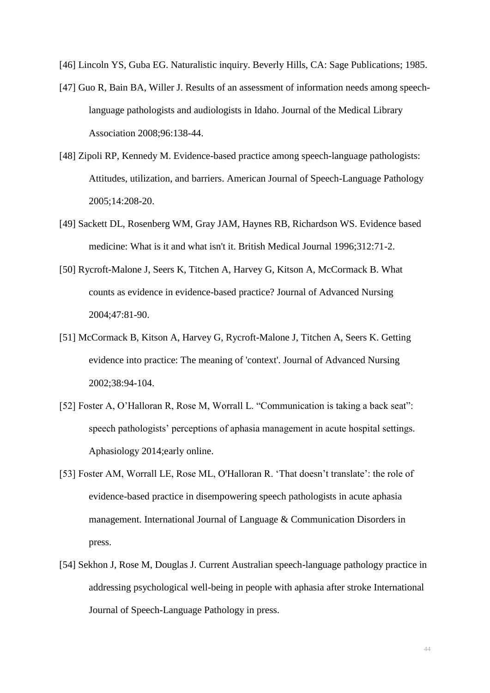<span id="page-43-0"></span>[46] Lincoln YS, Guba EG. Naturalistic inquiry. Beverly Hills, CA: Sage Publications; 1985.

- <span id="page-43-1"></span>[47] Guo R, Bain BA, Willer J. Results of an assessment of information needs among speechlanguage pathologists and audiologists in Idaho. Journal of the Medical Library Association 2008;96:138-44.
- <span id="page-43-2"></span>[48] Zipoli RP, Kennedy M. Evidence-based practice among speech-language pathologists: Attitudes, utilization, and barriers. American Journal of Speech-Language Pathology 2005;14:208-20.
- <span id="page-43-3"></span>[49] Sackett DL, Rosenberg WM, Gray JAM, Haynes RB, Richardson WS. Evidence based medicine: What is it and what isn't it. British Medical Journal 1996;312:71-2.
- [50] Rycroft-Malone J, Seers K, Titchen A, Harvey G, Kitson A, McCormack B. What counts as evidence in evidence-based practice? Journal of Advanced Nursing 2004;47:81-90.
- [51] McCormack B, Kitson A, Harvey G, Rycroft-Malone J, Titchen A, Seers K. Getting evidence into practice: The meaning of 'context'. Journal of Advanced Nursing 2002;38:94-104.
- <span id="page-43-4"></span>[52] Foster A, O'Halloran R, Rose M, Worrall L. "Communication is taking a back seat": speech pathologists' perceptions of aphasia management in acute hospital settings. Aphasiology 2014;early online.
- <span id="page-43-5"></span>[53] Foster AM, Worrall LE, Rose ML, O'Halloran R. 'That doesn't translate': the role of evidence-based practice in disempowering speech pathologists in acute aphasia management. International Journal of Language & Communication Disorders in press.
- <span id="page-43-6"></span>[54] Sekhon J, Rose M, Douglas J. Current Australian speech-language pathology practice in addressing psychological well-being in people with aphasia after stroke International Journal of Speech-Language Pathology in press.